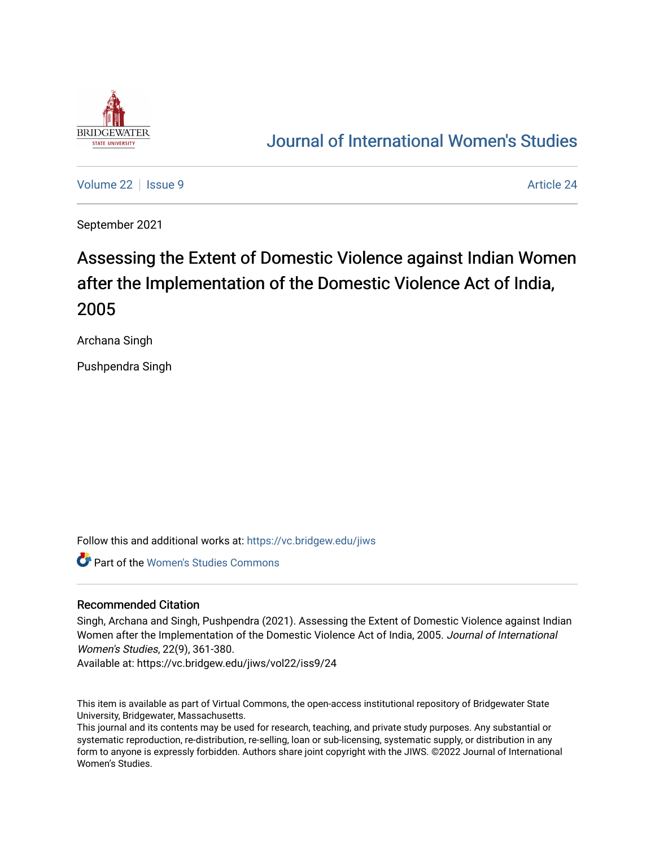

# [Journal of International Women's Studies](https://vc.bridgew.edu/jiws)

[Volume 22](https://vc.bridgew.edu/jiws/vol22) | [Issue 9](https://vc.bridgew.edu/jiws/vol22/iss9) [Article 24](https://vc.bridgew.edu/jiws/vol22/iss9/24) | Article 24 | Article 24 | Article 24 | Article 24 | Article 24 | Article 24 |

September 2021

# Assessing the Extent of Domestic Violence against Indian Women after the Implementation of the Domestic Violence Act of India, 2005

Archana Singh

Pushpendra Singh

Follow this and additional works at: [https://vc.bridgew.edu/jiws](https://vc.bridgew.edu/jiws?utm_source=vc.bridgew.edu%2Fjiws%2Fvol22%2Fiss9%2F24&utm_medium=PDF&utm_campaign=PDFCoverPages)

**Part of the Women's Studies Commons** 

#### Recommended Citation

Singh, Archana and Singh, Pushpendra (2021). Assessing the Extent of Domestic Violence against Indian Women after the Implementation of the Domestic Violence Act of India, 2005. Journal of International Women's Studies, 22(9), 361-380.

Available at: https://vc.bridgew.edu/jiws/vol22/iss9/24

This item is available as part of Virtual Commons, the open-access institutional repository of Bridgewater State University, Bridgewater, Massachusetts.

This journal and its contents may be used for research, teaching, and private study purposes. Any substantial or systematic reproduction, re-distribution, re-selling, loan or sub-licensing, systematic supply, or distribution in any form to anyone is expressly forbidden. Authors share joint copyright with the JIWS. ©2022 Journal of International Women's Studies.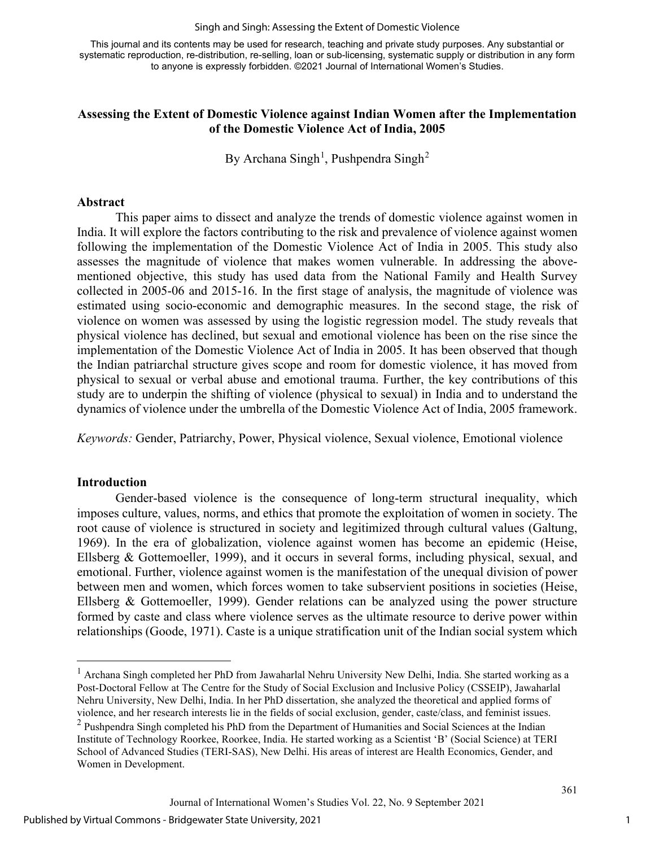#### Singh and Singh: Assessing the Extent of Domestic Violence

This journal and its contents may be used for research, teaching and private study purposes. Any substantial or systematic reproduction, re-distribution, re-selling, loan or sub-licensing, systematic supply or distribution in any form to anyone is expressly forbidden. ©2021 Journal of International Women's Studies.

# **Assessing the Extent of Domestic Violence against Indian Women after the Implementation of the Domestic Violence Act of India, 2005**

By Archana Singh<sup>[1](#page-1-0)</sup>, Pushpendra Singh<sup>[2](#page-1-1)</sup>

#### **Abstract**

This paper aims to dissect and analyze the trends of domestic violence against women in India. It will explore the factors contributing to the risk and prevalence of violence against women following the implementation of the Domestic Violence Act of India in 2005. This study also assesses the magnitude of violence that makes women vulnerable. In addressing the abovementioned objective, this study has used data from the National Family and Health Survey collected in 2005-06 and 2015-16. In the first stage of analysis, the magnitude of violence was estimated using socio-economic and demographic measures. In the second stage, the risk of violence on women was assessed by using the logistic regression model. The study reveals that physical violence has declined, but sexual and emotional violence has been on the rise since the implementation of the Domestic Violence Act of India in 2005. It has been observed that though the Indian patriarchal structure gives scope and room for domestic violence, it has moved from physical to sexual or verbal abuse and emotional trauma. Further, the key contributions of this study are to underpin the shifting of violence (physical to sexual) in India and to understand the dynamics of violence under the umbrella of the Domestic Violence Act of India, 2005 framework.

*Keywords:* Gender, Patriarchy, Power, Physical violence, Sexual violence, Emotional violence

#### **Introduction**

Gender-based violence is the consequence of long-term structural inequality, which imposes culture, values, norms, and ethics that promote the exploitation of women in society. The root cause of violence is structured in society and legitimized through cultural values (Galtung, 1969). In the era of globalization, violence against women has become an epidemic (Heise, Ellsberg & Gottemoeller, 1999), and it occurs in several forms, including physical, sexual, and emotional. Further, violence against women is the manifestation of the unequal division of power between men and women, which forces women to take subservient positions in societies (Heise, Ellsberg & Gottemoeller, 1999). Gender relations can be analyzed using the power structure formed by caste and class where violence serves as the ultimate resource to derive power within relationships (Goode, 1971). Caste is a unique stratification unit of the Indian social system which

<span id="page-1-0"></span><sup>&</sup>lt;sup>1</sup> Archana Singh completed her PhD from Jawaharlal Nehru University New Delhi, India. She started working as a Post-Doctoral Fellow at The Centre for the Study of Social Exclusion and Inclusive Policy (CSSEIP), Jawaharlal Nehru University, New Delhi, India. In her PhD dissertation, she analyzed the theoretical and applied forms of violence, and her research interests lie in the fields of social exclusion, gender, caste/class, and feminist issues.

<span id="page-1-1"></span><sup>&</sup>lt;sup>2</sup> Pushpendra Singh completed his PhD from the Department of Humanities and Social Sciences at the Indian Institute of Technology Roorkee, Roorkee, India. He started working as a Scientist 'B' (Social Science) at TERI School of Advanced Studies (TERI-SAS), New Delhi. His areas of interest are Health Economics, Gender, and Women in Development.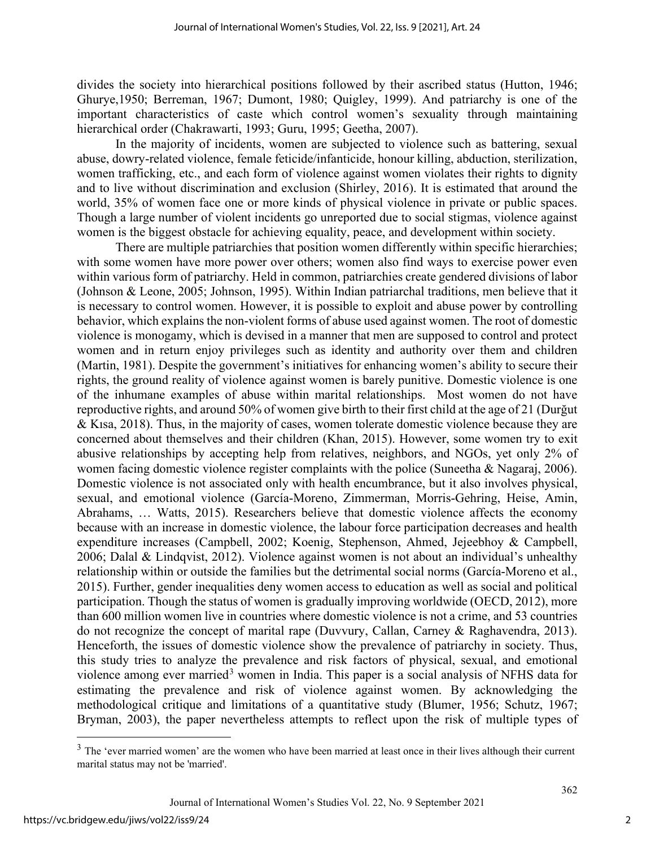divides the society into hierarchical positions followed by their ascribed status (Hutton, 1946; Ghurye,1950; Berreman, 1967; Dumont, 1980; Quigley, 1999). And patriarchy is one of the important characteristics of caste which control women's sexuality through maintaining hierarchical order (Chakrawarti, 1993; Guru, 1995; Geetha, 2007).

In the majority of incidents, women are subjected to violence such as battering, sexual abuse, dowry-related violence, female feticide/infanticide, honour killing, abduction, sterilization, women trafficking, etc., and each form of violence against women violates their rights to dignity and to live without discrimination and exclusion (Shirley, 2016). It is estimated that around the world, 35% of women face one or more kinds of physical violence in private or public spaces. Though a large number of violent incidents go unreported due to social stigmas, violence against women is the biggest obstacle for achieving equality, peace, and development within society.

There are multiple patriarchies that position women differently within specific hierarchies; with some women have more power over others; women also find ways to exercise power even within various form of patriarchy. Held in common, patriarchies create gendered divisions of labor (Johnson & Leone, 2005; Johnson, 1995). Within Indian patriarchal traditions, men believe that it is necessary to control women. However, it is possible to exploit and abuse power by controlling behavior, which explains the non-violent forms of abuse used against women. The root of domestic violence is monogamy, which is devised in a manner that men are supposed to control and protect women and in return enjoy privileges such as identity and authority over them and children (Martin, 1981). Despite the government's initiatives for enhancing women's ability to secure their rights, the ground reality of violence against women is barely punitive. Domestic violence is one of the inhumane examples of abuse within marital relationships. Most women do not have reproductive rights, and around 50% of women give birth to their first child at the age of 21 (Durğut & Kısa, 2018). Thus, in the majority of cases, women tolerate domestic violence because they are concerned about themselves and their children (Khan, 2015). However, some women try to exit abusive relationships by accepting help from relatives, neighbors, and NGOs, yet only 2% of women facing domestic violence register complaints with the police (Suneetha & Nagaraj, 2006). Domestic violence is not associated only with health encumbrance, but it also involves physical, sexual, and emotional violence (García-Moreno, Zimmerman, Morris-Gehring, Heise, Amin, Abrahams, … Watts, 2015). Researchers believe that domestic violence affects the economy because with an increase in domestic violence, the labour force participation decreases and health expenditure increases (Campbell, 2002; Koenig, Stephenson, Ahmed, Jejeebhoy & Campbell, 2006; Dalal & Lindqvist, 2012). Violence against women is not about an individual's unhealthy relationship within or outside the families but the detrimental social norms (García-Moreno et al., 2015). Further, gender inequalities deny women access to education as well as social and political participation. Though the status of women is gradually improving worldwide (OECD, 2012), more than 600 million women live in countries where domestic violence is not a crime, and 53 countries do not recognize the concept of marital rape (Duvvury, Callan, Carney & Raghavendra, 2013). Henceforth, the issues of domestic violence show the prevalence of patriarchy in society. Thus, this study tries to analyze the prevalence and risk factors of physical, sexual, and emotional violence among ever married<sup>[3](#page-2-0)</sup> women in India. This paper is a social analysis of NFHS data for estimating the prevalence and risk of violence against women. By acknowledging the methodological critique and limitations of a quantitative study (Blumer, 1956; Schutz, 1967; Bryman, 2003), the paper nevertheless attempts to reflect upon the risk of multiple types of

<span id="page-2-0"></span><sup>&</sup>lt;sup>3</sup> The 'ever married women' are the women who have been married at least once in their lives although their current marital status may not be 'married'.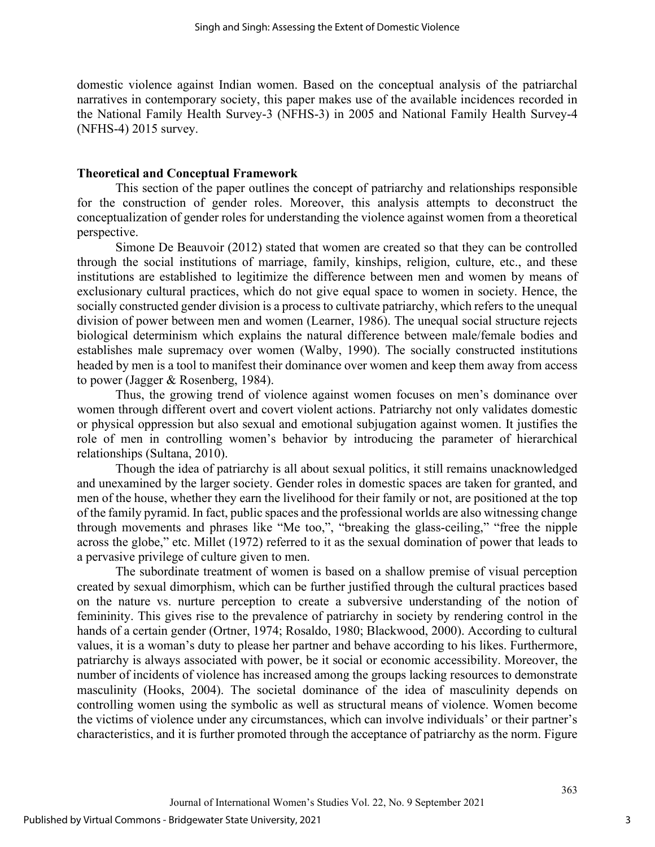domestic violence against Indian women. Based on the conceptual analysis of the patriarchal narratives in contemporary society, this paper makes use of the available incidences recorded in the National Family Health Survey-3 (NFHS-3) in 2005 and National Family Health Survey-4 (NFHS-4) 2015 survey.

#### **Theoretical and Conceptual Framework**

This section of the paper outlines the concept of patriarchy and relationships responsible for the construction of gender roles. Moreover, this analysis attempts to deconstruct the conceptualization of gender roles for understanding the violence against women from a theoretical perspective.

Simone De Beauvoir (2012) stated that women are created so that they can be controlled through the social institutions of marriage, family, kinships, religion, culture, etc., and these institutions are established to legitimize the difference between men and women by means of exclusionary cultural practices, which do not give equal space to women in society. Hence, the socially constructed gender division is a process to cultivate patriarchy, which refers to the unequal division of power between men and women (Learner, 1986). The unequal social structure rejects biological determinism which explains the natural difference between male/female bodies and establishes male supremacy over women (Walby, 1990). The socially constructed institutions headed by men is a tool to manifest their dominance over women and keep them away from access to power (Jagger & Rosenberg, 1984).

Thus, the growing trend of violence against women focuses on men's dominance over women through different overt and covert violent actions. Patriarchy not only validates domestic or physical oppression but also sexual and emotional subjugation against women. It justifies the role of men in controlling women's behavior by introducing the parameter of hierarchical relationships (Sultana, 2010).

Though the idea of patriarchy is all about sexual politics, it still remains unacknowledged and unexamined by the larger society. Gender roles in domestic spaces are taken for granted, and men of the house, whether they earn the livelihood for their family or not, are positioned at the top of the family pyramid. In fact, public spaces and the professional worlds are also witnessing change through movements and phrases like "Me too,", "breaking the glass-ceiling," "free the nipple across the globe," etc. Millet (1972) referred to it as the sexual domination of power that leads to a pervasive privilege of culture given to men.

The subordinate treatment of women is based on a shallow premise of visual perception created by sexual dimorphism, which can be further justified through the cultural practices based on the nature vs. nurture perception to create a subversive understanding of the notion of femininity. This gives rise to the prevalence of patriarchy in society by rendering control in the hands of a certain gender (Ortner, 1974; Rosaldo, 1980; Blackwood, 2000). According to cultural values, it is a woman's duty to please her partner and behave according to his likes. Furthermore, patriarchy is always associated with power, be it social or economic accessibility. Moreover, the number of incidents of violence has increased among the groups lacking resources to demonstrate masculinity (Hooks, 2004). The societal dominance of the idea of masculinity depends on controlling women using the symbolic as well as structural means of violence. Women become the victims of violence under any circumstances, which can involve individuals' or their partner's characteristics, and it is further promoted through the acceptance of patriarchy as the norm. Figure

3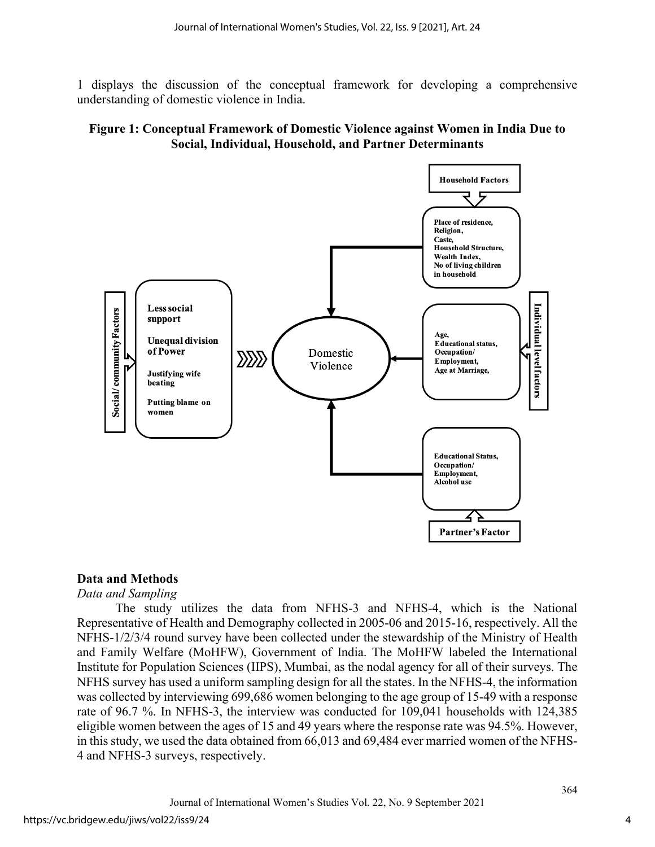1 displays the discussion of the conceptual framework for developing a comprehensive understanding of domestic violence in India.

# **Figure 1: Conceptual Framework of Domestic Violence against Women in India Due to Social, Individual, Household, and Partner Determinants**



# **Data and Methods**

#### *Data and Sampling*

The study utilizes the data from NFHS-3 and NFHS-4, which is the National Representative of Health and Demography collected in 2005-06 and 2015-16, respectively. All the NFHS-1/2/3/4 round survey have been collected under the stewardship of the Ministry of Health and Family Welfare (MoHFW), Government of India. The MoHFW labeled the International Institute for Population Sciences (IIPS), Mumbai, as the nodal agency for all of their surveys. The NFHS survey has used a uniform sampling design for all the states. In the NFHS-4, the information was collected by interviewing 699,686 women belonging to the age group of 15-49 with a response rate of 96.7 %. In NFHS-3, the interview was conducted for 109,041 households with 124,385 eligible women between the ages of 15 and 49 years where the response rate was 94.5%. However, in this study, we used the data obtained from 66,013 and 69,484 ever married women of the NFHS-4 and NFHS-3 surveys, respectively.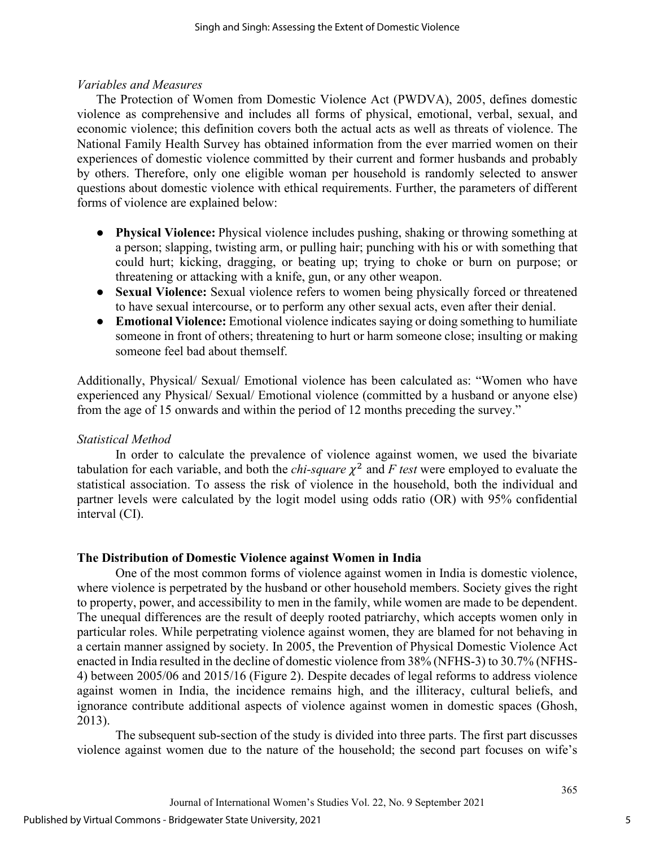# *Variables and Measures*

The Protection of Women from Domestic Violence Act (PWDVA), 2005, defines domestic violence as comprehensive and includes all forms of physical, emotional, verbal, sexual, and economic violence; this definition covers both the actual acts as well as threats of violence. The National Family Health Survey has obtained information from the ever married women on their experiences of domestic violence committed by their current and former husbands and probably by others. Therefore, only one eligible woman per household is randomly selected to answer questions about domestic violence with ethical requirements. Further, the parameters of different forms of violence are explained below:

- **Physical Violence:** Physical violence includes pushing, shaking or throwing something at a person; slapping, twisting arm, or pulling hair; punching with his or with something that could hurt; kicking, dragging, or beating up; trying to choke or burn on purpose; or threatening or attacking with a knife, gun, or any other weapon.
- **Sexual Violence:** Sexual violence refers to women being physically forced or threatened to have sexual intercourse, or to perform any other sexual acts, even after their denial.
- **Emotional Violence:** Emotional violence indicates saying or doing something to humiliate someone in front of others; threatening to hurt or harm someone close; insulting or making someone feel bad about themself.

Additionally, Physical/ Sexual/ Emotional violence has been calculated as: "Women who have experienced any Physical/ Sexual/ Emotional violence (committed by a husband or anyone else) from the age of 15 onwards and within the period of 12 months preceding the survey."

# *Statistical Method*

In order to calculate the prevalence of violence against women, we used the bivariate tabulation for each variable, and both the *chi-square*  $\chi^2$  and *F test* were employed to evaluate the statistical association. To assess the risk of violence in the household, both the individual and partner levels were calculated by the logit model using odds ratio (OR) with 95% confidential interval (CI).

# **The Distribution of Domestic Violence against Women in India**

One of the most common forms of violence against women in India is domestic violence, where violence is perpetrated by the husband or other household members. Society gives the right to property, power, and accessibility to men in the family, while women are made to be dependent. The unequal differences are the result of deeply rooted patriarchy, which accepts women only in particular roles. While perpetrating violence against women, they are blamed for not behaving in a certain manner assigned by society. In 2005, the Prevention of Physical Domestic Violence Act enacted in India resulted in the decline of domestic violence from 38% (NFHS-3) to 30.7% (NFHS-4) between 2005/06 and 2015/16 (Figure 2). Despite decades of legal reforms to address violence against women in India, the incidence remains high, and the illiteracy, cultural beliefs, and ignorance contribute additional aspects of violence against women in domestic spaces (Ghosh, 2013).

The subsequent sub-section of the study is divided into three parts. The first part discusses violence against women due to the nature of the household; the second part focuses on wife's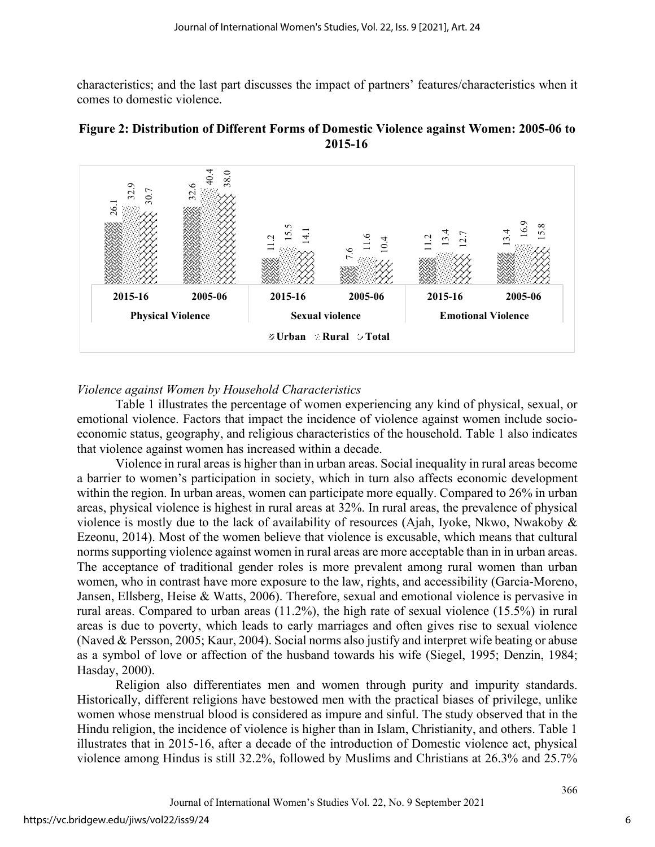characteristics; and the last part discusses the impact of partners' features/characteristics when it comes to domestic violence.





# *Violence against Women by Household Characteristics*

Table 1 illustrates the percentage of women experiencing any kind of physical, sexual, or emotional violence. Factors that impact the incidence of violence against women include socioeconomic status, geography, and religious characteristics of the household. Table 1 also indicates that violence against women has increased within a decade.

Violence in rural areas is higher than in urban areas. Social inequality in rural areas become a barrier to women's participation in society, which in turn also affects economic development within the region. In urban areas, women can participate more equally. Compared to 26% in urban areas, physical violence is highest in rural areas at 32%. In rural areas, the prevalence of physical violence is mostly due to the lack of availability of resources (Ajah, Iyoke, Nkwo, Nwakoby & Ezeonu, 2014). Most of the women believe that violence is excusable, which means that cultural norms supporting violence against women in rural areas are more acceptable than in in urban areas. The acceptance of traditional gender roles is more prevalent among rural women than urban women, who in contrast have more exposure to the law, rights, and accessibility (Garcia-Moreno, Jansen, Ellsberg, Heise & Watts, 2006). Therefore, sexual and emotional violence is pervasive in rural areas. Compared to urban areas (11.2%), the high rate of sexual violence (15.5%) in rural areas is due to poverty, which leads to early marriages and often gives rise to sexual violence (Naved & Persson, 2005; Kaur, 2004). Social norms also justify and interpret wife beating or abuse as a symbol of love or affection of the husband towards his wife (Siegel, 1995; Denzin, 1984; Hasday, 2000).  $\frac{3}{2}$   $\frac{3}{2}$   $\frac{3}{2}$   $\frac{3}{2}$   $\frac{3}{2}$   $\frac{3}{2}$   $\frac{3}{2}$   $\frac{3}{2}$   $\frac{3}{2}$   $\frac{3}{2}$   $\frac{3}{2}$   $\frac{3}{2}$   $\frac{3}{2}$   $\frac{3}{2}$   $\frac{3}{2}$   $\frac{3}{2}$   $\frac{3}{2}$   $\frac{3}{2}$   $\frac{3}{2}$   $\frac{3}{2}$   $\frac{3}{2}$   $\frac{3}{2}$ 

Religion also differentiates men and women through purity and impurity standards. Historically, different religions have bestowed men with the practical biases of privilege, unlike women whose menstrual blood is considered as impure and sinful. The study observed that in the Hindu religion, the incidence of violence is higher than in Islam, Christianity, and others. Table 1 illustrates that in 2015-16, after a decade of the introduction of Domestic violence act, physical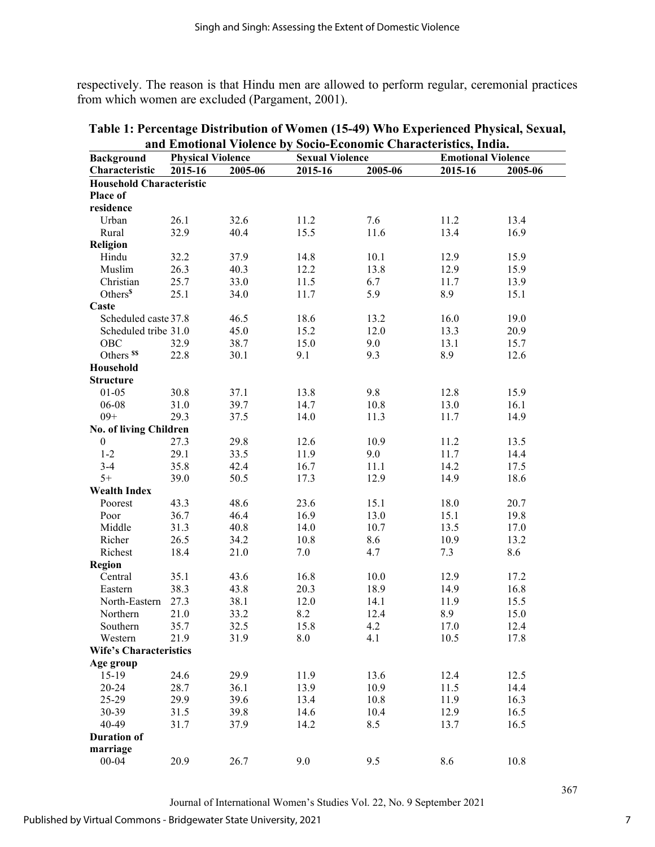respectively. The reason is that Hindu men are allowed to perform regular, ceremonial practices from which women are excluded (Pargament, 2001).

|                                 | and Emotional Violence by Socio-Economic Characteristics, India. |         |                        |         |                           |         |  |
|---------------------------------|------------------------------------------------------------------|---------|------------------------|---------|---------------------------|---------|--|
| <b>Background</b>               | <b>Physical Violence</b>                                         |         | <b>Sexual Violence</b> |         | <b>Emotional Violence</b> |         |  |
| Characteristic                  | 2015-16                                                          | 2005-06 | 2015-16                | 2005-06 | 2015-16                   | 2005-06 |  |
| <b>Household Characteristic</b> |                                                                  |         |                        |         |                           |         |  |
| Place of                        |                                                                  |         |                        |         |                           |         |  |
| residence                       |                                                                  |         |                        |         |                           |         |  |
| Urban                           | 26.1                                                             | 32.6    | 11.2                   | 7.6     | 11.2                      | 13.4    |  |
| Rural                           | 32.9                                                             | 40.4    | 15.5                   | 11.6    | 13.4                      | 16.9    |  |
| Religion                        |                                                                  |         |                        |         |                           |         |  |
| Hindu                           | 32.2                                                             | 37.9    | 14.8                   | 10.1    | 12.9                      | 15.9    |  |
| Muslim                          | 26.3                                                             | 40.3    | 12.2                   | 13.8    | 12.9                      | 15.9    |  |
| Christian                       | 25.7                                                             | 33.0    | 11.5                   | 6.7     | 11.7                      | 13.9    |  |
| Others <sup>\$</sup>            | 25.1                                                             | 34.0    | 11.7                   | 5.9     | 8.9                       | 15.1    |  |
| Caste                           |                                                                  |         |                        |         |                           |         |  |
| Scheduled caste 37.8            |                                                                  | 46.5    | 18.6                   | 13.2    | 16.0                      | 19.0    |  |
| Scheduled tribe 31.0            |                                                                  | 45.0    | 15.2                   | 12.0    | 13.3                      | 20.9    |  |
| OBC                             | 32.9                                                             | 38.7    | 15.0                   | 9.0     | 13.1                      | 15.7    |  |
| Others <sup>\$\$</sup>          | 22.8                                                             | 30.1    | 9.1                    | 9.3     | 8.9                       | 12.6    |  |
| Household                       |                                                                  |         |                        |         |                           |         |  |
| <b>Structure</b>                |                                                                  |         |                        |         |                           |         |  |
| $01 - 05$                       | 30.8                                                             | 37.1    | 13.8                   | 9.8     | 12.8                      | 15.9    |  |
| 06-08                           | 31.0                                                             | 39.7    | 14.7                   | 10.8    | 13.0                      | 16.1    |  |
| $09+$                           | 29.3                                                             | 37.5    | 14.0                   | 11.3    | 11.7                      | 14.9    |  |
| No. of living Children          |                                                                  |         |                        |         |                           |         |  |
| $\boldsymbol{0}$                | 27.3                                                             | 29.8    | 12.6                   | 10.9    | 11.2                      | 13.5    |  |
| $1 - 2$                         | 29.1                                                             | 33.5    | 11.9                   | 9.0     | 11.7                      | 14.4    |  |
| $3-4$                           | 35.8                                                             | 42.4    |                        | 11.1    | 14.2                      |         |  |
| $5+$                            |                                                                  |         | 16.7<br>17.3           |         |                           | 17.5    |  |
|                                 | 39.0                                                             | 50.5    |                        | 12.9    | 14.9                      | 18.6    |  |
| <b>Wealth Index</b>             | 43.3                                                             | 48.6    | 23.6                   | 15.1    | 18.0                      | 20.7    |  |
| Poorest                         |                                                                  |         | 16.9                   |         |                           |         |  |
| Poor                            | 36.7                                                             | 46.4    |                        | 13.0    | 15.1                      | 19.8    |  |
| Middle                          | 31.3                                                             | 40.8    | 14.0                   | 10.7    | 13.5                      | 17.0    |  |
| Richer                          | 26.5                                                             | 34.2    | 10.8                   | 8.6     | 10.9                      | 13.2    |  |
| Richest                         | 18.4                                                             | 21.0    | 7.0                    | 4.7     | 7.3                       | 8.6     |  |
| Region                          |                                                                  |         |                        |         |                           |         |  |
| Central                         | 35.1                                                             | 43.6    | 16.8                   | 10.0    | 12.9                      | 17.2    |  |
| Eastern                         | 38.3                                                             | 43.8    | 20.3                   | 18.9    | 14.9                      | 16.8    |  |
| North-Eastern                   | 27.3                                                             | 38.1    | 12.0                   | 14.1    | 11.9                      | 15.5    |  |
| Northern                        | 21.0                                                             | 33.2    | 8.2                    | 12.4    | 8.9                       | 15.0    |  |
| Southern                        | 35.7                                                             | 32.5    | 15.8                   | 4.2     | 17.0                      | 12.4    |  |
| Western                         | 21.9                                                             | 31.9    | 8.0                    | 4.1     | 10.5                      | 17.8    |  |
| <b>Wife's Characteristics</b>   |                                                                  |         |                        |         |                           |         |  |
| Age group                       |                                                                  |         |                        |         |                           |         |  |
| 15-19                           | 24.6                                                             | 29.9    | 11.9                   | 13.6    | 12.4                      | 12.5    |  |
| 20-24                           | 28.7                                                             | 36.1    | 13.9                   | 10.9    | 11.5                      | 14.4    |  |
| 25-29                           | 29.9                                                             | 39.6    | 13.4                   | 10.8    | 11.9                      | 16.3    |  |
| 30-39                           | 31.5                                                             | 39.8    | 14.6                   | 10.4    | 12.9                      | 16.5    |  |
| 40-49                           | 31.7                                                             | 37.9    | 14.2                   | 8.5     | 13.7                      | 16.5    |  |
| <b>Duration of</b>              |                                                                  |         |                        |         |                           |         |  |
| marriage                        |                                                                  |         |                        |         |                           |         |  |
| $00 - 04$                       | 20.9                                                             | 26.7    | 9.0                    | 9.5     | 8.6                       | 10.8    |  |

**Table 1: Percentage Distribution of Women (15-49) Who Experienced Physical, Sexual, and Emotional Violence by Socio-Economic Characteristics, India.**

Journal of International Women's Studies Vol. 22, No. 9 September 2021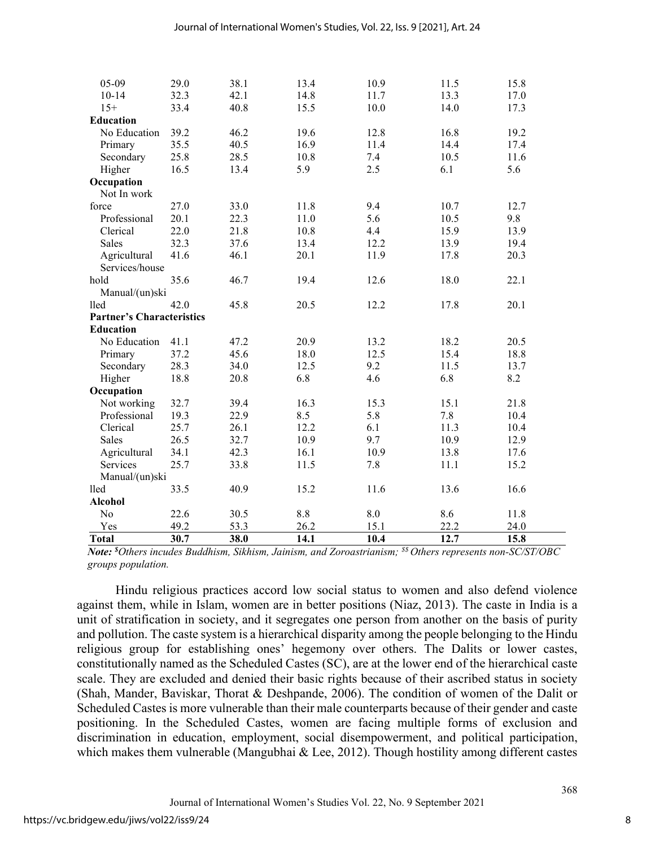| <b>Total</b>                     | 30.7         | 38.0         | 14.1         | 10.4 | 12.7         | 15.8        |
|----------------------------------|--------------|--------------|--------------|------|--------------|-------------|
| Yes                              | 49.2         | 53.3         | 26.2         | 15.1 | 22.2         | 24.0        |
| N <sub>o</sub>                   | 22.6         | 30.5         | 8.8          | 8.0  | 8.6          | 11.8        |
| <b>Alcohol</b>                   |              |              |              |      |              |             |
| lled                             | 33.5         | 40.9         | 15.2         | 11.6 | 13.6         | 16.6        |
| Manual/(un)ski                   |              |              |              |      |              |             |
| Services                         | 25.7         | 33.8         | 11.5         | 7.8  | 11.1         | 15.2        |
| Agricultural                     | 34.1         | 42.3         | 16.1         | 10.9 | 13.8         | 17.6        |
| Sales                            | 26.5         | 32.7         | 10.9         | 9.7  | 10.9         | 12.9        |
| Clerical                         | 25.7         | 26.1         | 12.2         | 6.1  | 11.3         | 10.4        |
| Professional                     | 19.3         | 22.9         | 8.5          | 5.8  | 7.8          | 10.4        |
| Not working                      | 32.7         | 39.4         | 16.3         | 15.3 | 15.1         | 21.8        |
| Occupation                       |              |              |              |      |              |             |
| Higher                           | 18.8         | 20.8         | 6.8          | 4.6  | 6.8          | 8.2         |
| Secondary                        | 28.3         | 34.0         | 12.5         | 9.2  | 11.5         | 13.7        |
| Primary                          | 37.2         | 45.6         | 18.0         | 12.5 | 15.4         | 18.8        |
| No Education                     | 41.1         | 47.2         | 20.9         | 13.2 | 18.2         | 20.5        |
| <b>Education</b>                 |              |              |              |      |              |             |
| <b>Partner's Characteristics</b> |              |              |              |      |              |             |
| lled                             | 42.0         | 45.8         | 20.5         | 12.2 | 17.8         | 20.1        |
| Manual/(un)ski                   |              |              |              |      |              |             |
| hold                             | 35.6         | 46.7         | 19.4         | 12.6 | 18.0         | 22.1        |
| Services/house                   |              |              |              |      |              |             |
| Agricultural                     | 41.6         | 46.1         | 20.1         | 11.9 | 17.8         | 20.3        |
| Sales                            | 32.3         | 37.6         | 13.4         | 12.2 | 13.9         | 19.4        |
| Clerical                         | 22.0         | 21.8         | 10.8         | 4.4  | 15.9         | 13.9        |
| force<br>Professional            | 27.0<br>20.1 | 33.0<br>22.3 | 11.8<br>11.0 | 5.6  | 10.7<br>10.5 | 12.7<br>9.8 |
| Not In work                      |              |              |              | 9.4  |              |             |
| Occupation                       |              |              |              |      |              |             |
| Higher                           | 16.5         | 13.4         | 5.9          | 2.5  | 6.1          | 5.6         |
| Secondary                        | 25.8         | 28.5         | 10.8         | 7.4  | 10.5         | 11.6        |
| Primary                          | 35.5         | 40.5         | 16.9         | 11.4 | 14.4         | 17.4        |
| No Education                     | 39.2         | 46.2         | 19.6         | 12.8 | 16.8         | 19.2        |
| Education                        |              |              |              |      |              |             |
| $15+$                            | 33.4         | 40.8         | 15.5         | 10.0 | 14.0         | 17.3        |
| $10 - 14$                        | 32.3         | 42.1         | 14.8         | 11.7 | 13.3         | 17.0        |
| 05-09                            | 29.0         | 38.1         | 13.4         | 10.9 | 11.5         | 15.8        |
|                                  |              |              |              |      |              |             |

*Note: \$ Others incudes Buddhism, Sikhism, Jainism, and Zoroastrianism; \$\$ Others represents non-SC/ST/OBC groups population.*

Hindu religious practices accord low social status to women and also defend violence against them, while in Islam, women are in better positions (Niaz, 2013). The caste in India is a unit of stratification in society, and it segregates one person from another on the basis of purity and pollution. The caste system is a hierarchical disparity among the people belonging to the Hindu religious group for establishing ones' hegemony over others. The Dalits or lower castes, constitutionally named as the Scheduled Castes (SC), are at the lower end of the hierarchical caste scale. They are excluded and denied their basic rights because of their ascribed status in society (Shah, Mander, Baviskar, Thorat & Deshpande, 2006). The condition of women of the Dalit or Scheduled Castes is more vulnerable than their male counterparts because of their gender and caste positioning. In the Scheduled Castes, women are facing multiple forms of exclusion and discrimination in education, employment, social disempowerment, and political participation, which makes them vulnerable (Mangubhai & Lee, 2012). Though hostility among different castes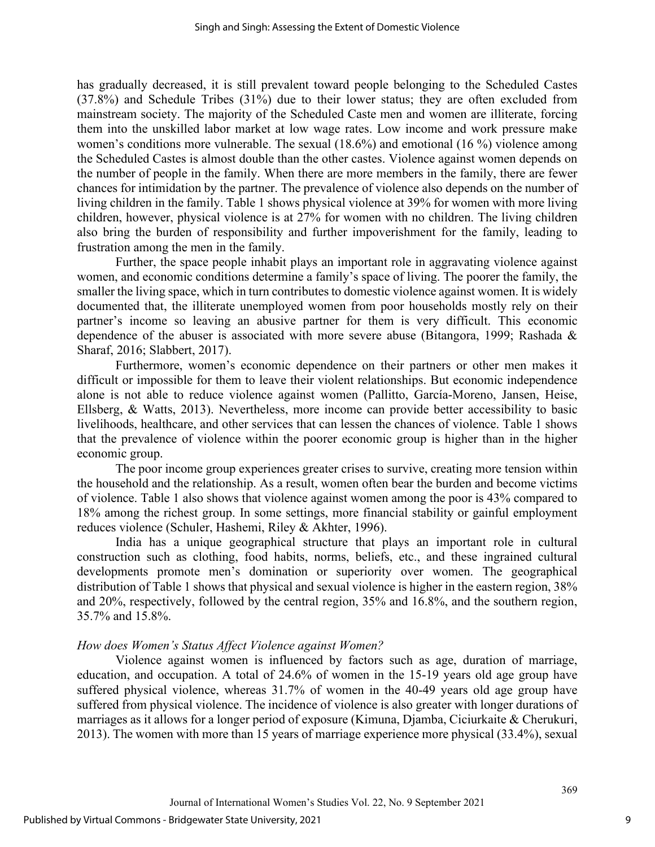has gradually decreased, it is still prevalent toward people belonging to the Scheduled Castes (37.8%) and Schedule Tribes (31%) due to their lower status; they are often excluded from mainstream society. The majority of the Scheduled Caste men and women are illiterate, forcing them into the unskilled labor market at low wage rates. Low income and work pressure make women's conditions more vulnerable. The sexual (18.6%) and emotional (16 %) violence among the Scheduled Castes is almost double than the other castes. Violence against women depends on the number of people in the family. When there are more members in the family, there are fewer chances for intimidation by the partner. The prevalence of violence also depends on the number of living children in the family. Table 1 shows physical violence at 39% for women with more living children, however, physical violence is at 27% for women with no children. The living children also bring the burden of responsibility and further impoverishment for the family, leading to frustration among the men in the family.

Further, the space people inhabit plays an important role in aggravating violence against women, and economic conditions determine a family's space of living. The poorer the family, the smaller the living space, which in turn contributes to domestic violence against women. It is widely documented that, the illiterate unemployed women from poor households mostly rely on their partner's income so leaving an abusive partner for them is very difficult. This economic dependence of the abuser is associated with more severe abuse (Bitangora, 1999; Rashada & Sharaf, 2016; Slabbert, 2017).

Furthermore, women's economic dependence on their partners or other men makes it difficult or impossible for them to leave their violent relationships. But economic independence alone is not able to reduce violence against women (Pallitto, García-Moreno, Jansen, Heise, Ellsberg, & Watts, 2013). Nevertheless, more income can provide better accessibility to basic livelihoods, healthcare, and other services that can lessen the chances of violence. Table 1 shows that the prevalence of violence within the poorer economic group is higher than in the higher economic group.

The poor income group experiences greater crises to survive, creating more tension within the household and the relationship. As a result, women often bear the burden and become victims of violence. Table 1 also shows that violence against women among the poor is 43% compared to 18% among the richest group. In some settings, more financial stability or gainful employment reduces violence (Schuler, Hashemi, Riley & Akhter, 1996).

India has a unique geographical structure that plays an important role in cultural construction such as clothing, food habits, norms, beliefs, etc., and these ingrained cultural developments promote men's domination or superiority over women. The geographical distribution of Table 1 shows that physical and sexual violence is higher in the eastern region, 38% and 20%, respectively, followed by the central region, 35% and 16.8%, and the southern region, 35.7% and 15.8%.

#### *How does Women's Status Affect Violence against Women?*

Violence against women is influenced by factors such as age, duration of marriage, education, and occupation. A total of 24.6% of women in the 15-19 years old age group have suffered physical violence, whereas 31.7% of women in the 40-49 years old age group have suffered from physical violence. The incidence of violence is also greater with longer durations of marriages as it allows for a longer period of exposure (Kimuna, Djamba, Ciciurkaite & Cherukuri, 2013). The women with more than 15 years of marriage experience more physical (33.4%), sexual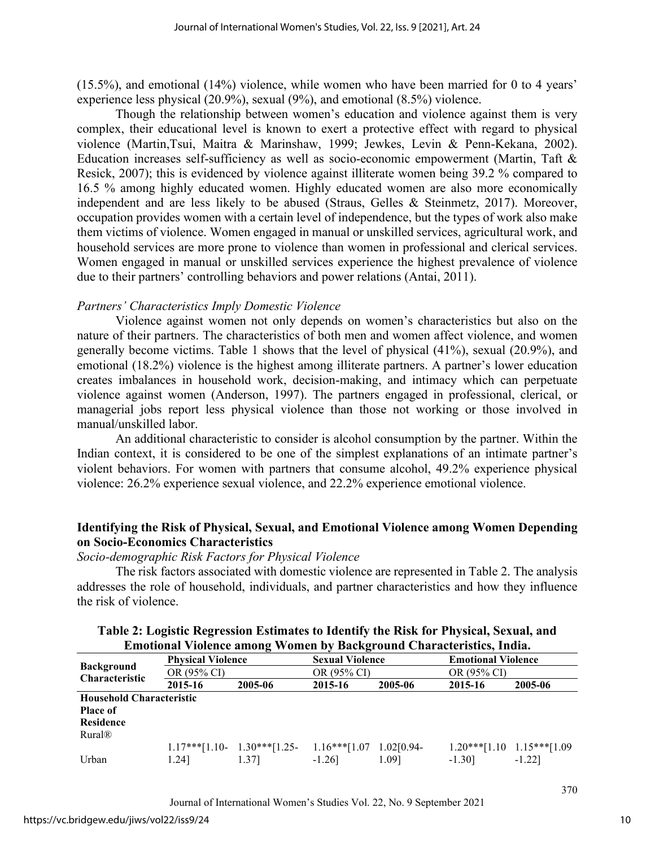(15.5%), and emotional (14%) violence, while women who have been married for 0 to 4 years' experience less physical (20.9%), sexual (9%), and emotional (8.5%) violence.

Though the relationship between women's education and violence against them is very complex, their educational level is known to exert a protective effect with regard to physical violence (Martin,Tsui, Maitra & Marinshaw, 1999; Jewkes, Levin & Penn-Kekana, 2002). Education increases self-sufficiency as well as socio-economic empowerment (Martin, Taft & Resick, 2007); this is evidenced by violence against illiterate women being 39.2 % compared to 16.5 % among highly educated women. Highly educated women are also more economically independent and are less likely to be abused (Straus, Gelles & Steinmetz, 2017). Moreover, occupation provides women with a certain level of independence, but the types of work also make them victims of violence. Women engaged in manual or unskilled services, agricultural work, and household services are more prone to violence than women in professional and clerical services. Women engaged in manual or unskilled services experience the highest prevalence of violence due to their partners' controlling behaviors and power relations (Antai, 2011).

# *Partners' Characteristics Imply Domestic Violence*

Violence against women not only depends on women's characteristics but also on the nature of their partners. The characteristics of both men and women affect violence, and women generally become victims. Table 1 shows that the level of physical (41%), sexual (20.9%), and emotional (18.2%) violence is the highest among illiterate partners. A partner's lower education creates imbalances in household work, decision-making, and intimacy which can perpetuate violence against women (Anderson, 1997). The partners engaged in professional, clerical, or managerial jobs report less physical violence than those not working or those involved in manual/unskilled labor.

An additional characteristic to consider is alcohol consumption by the partner. Within the Indian context, it is considered to be one of the simplest explanations of an intimate partner's violent behaviors. For women with partners that consume alcohol, 49.2% experience physical violence: 26.2% experience sexual violence, and 22.2% experience emotional violence.

# **Identifying the Risk of Physical, Sexual, and Emotional Violence among Women Depending on Socio-Economics Characteristics**

#### *Socio-demographic Risk Factors for Physical Violence*

The risk factors associated with domestic violence are represented in Table 2. The analysis addresses the role of household, individuals, and partner characteristics and how they influence the risk of violence.

|                          |                                         | енглинат утоких англід туошки ру васкдтоана Спатаскі виклупана. |                                       |              |                                          |                               |                       |         |         |
|--------------------------|-----------------------------------------|-----------------------------------------------------------------|---------------------------------------|--------------|------------------------------------------|-------------------------------|-----------------------|---------|---------|
| <b>Background</b>        | <b>Physical Violence</b><br>OR (95% CI) |                                                                 | <b>Sexual Violence</b><br>OR (95% CI) |              | <b>Emotional Violence</b><br>OR (95% CI) |                               |                       |         |         |
|                          |                                         |                                                                 |                                       |              |                                          |                               | <b>Characteristic</b> | 2015-16 | 2005-06 |
|                          | <b>Household Characteristic</b>         |                                                                 |                                       |              |                                          |                               |                       |         |         |
| <b>Place of</b>          |                                         |                                                                 |                                       |              |                                          |                               |                       |         |         |
| <b>Residence</b>         |                                         |                                                                 |                                       |              |                                          |                               |                       |         |         |
| <b>Rural<sup>®</sup></b> |                                         |                                                                 |                                       |              |                                          |                               |                       |         |         |
|                          |                                         | $1.17***$ [1.10- 1.30***[1.25-                                  | $1.16***$ [1.07]                      | $1.02[0.94-$ |                                          | $1.20***[1.10 \t1.15***[1.09$ |                       |         |         |
| Urban                    | 1.241                                   | 1.371                                                           | $-1.26$ ]                             | 1.091        | $-1.30$ ]                                | $-1.22$ ]                     |                       |         |         |

# **Table 2: Logistic Regression Estimates to Identify the Risk for Physical, Sexual, and Emotional Violence among Women by Background Characteristics, India.**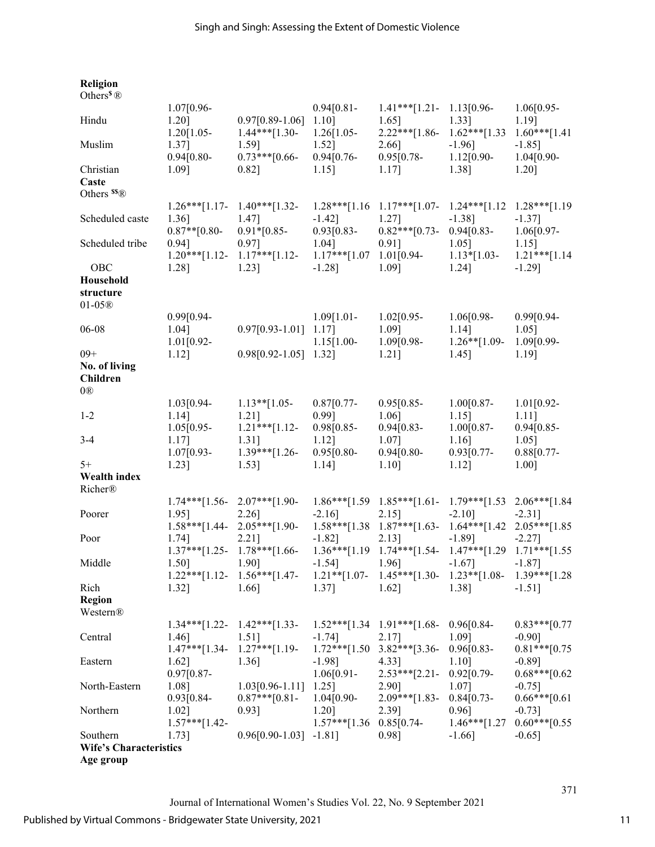| <b>Religion</b><br>Others <sup>§</sup> $\circledR$ |                                |                                |                            |                                                                          |                                   |                       |
|----------------------------------------------------|--------------------------------|--------------------------------|----------------------------|--------------------------------------------------------------------------|-----------------------------------|-----------------------|
|                                                    |                                |                                |                            | $1.41***$ [1.21- 1.13[0.96-                                              |                                   |                       |
| Hindu                                              | 1.07[0.96-<br>1.20]            | $0.97[0.89-1.06]$ 1.10]        | $0.94[0.81 -$              | $1.65$ ]                                                                 | $1.33$ ]                          | $1.06[0.95-$<br>1.19] |
|                                                    | $1.20[1.05 -$                  | $1.44***$ [1.30- 1.26[1.05-    |                            | $2.22***[1.86-$                                                          | $1.62***[1.33]$                   | $1.60***[1.41]$       |
| Muslim                                             | $1.37$ ]                       | 1.59]                          | $1.52$ ]                   | 2.66]                                                                    | $-1.96$ ]                         | $-1.85$ ]             |
|                                                    | $0.94[0.80-$                   | $0.73***[0.66-$                | $0.94[0.76-$               | 0.95[0.78-                                                               | $1.12[0.90-$                      | $1.04[0.90-$          |
| Christian                                          | 1.09]                          | $0.82$ ]                       | $1.15$ ]                   | $1.17$ ]                                                                 | 1.38]                             | 1.20]                 |
| Caste                                              |                                |                                |                            |                                                                          |                                   |                       |
| Others $^{ss}$ ®                                   |                                |                                |                            |                                                                          |                                   |                       |
|                                                    | $1.26***[1.17-$                | $1.40***$ [1.32-               |                            | $1.28***[1.16 \t1.17***[1.07- \t1.24***[1.12$                            |                                   | $1.28***$ [1.19]      |
| Scheduled caste                                    | 1.36]                          | 1.47]                          | $-1.42$ ]                  | 1.27]                                                                    | $-1.38$ ]                         | $-1.37$ ]             |
|                                                    | $0.87**$ [0.80-                | $0.91*$ [0.85-                 | $0.93[0.83-$               | $0.82***$ [0.73-                                                         | $0.94[0.83-$                      | $1.06[0.97-$          |
| Scheduled tribe                                    | $0.94$ ]                       | 0.97]                          | 1.04]                      | $0.91$ ]                                                                 | $1.05$ ]                          | $1.15$ ]              |
|                                                    | $1.20***[1.12-$                | $1.17***$ [1.12-               | $1.17***$ [1.07 1.01[0.94- |                                                                          | $1.13*[1.03-$                     | $1.21***$ [1.14       |
| OBC                                                | 1.28]                          | 1.23]                          | $-1.28$ ]                  | 1.09]                                                                    | 1.24]                             | $-1.29$ ]             |
| Household                                          |                                |                                |                            |                                                                          |                                   |                       |
| structure                                          |                                |                                |                            |                                                                          |                                   |                       |
| $01-05@$                                           |                                |                                |                            |                                                                          |                                   |                       |
|                                                    | $0.99[0.94 -$                  |                                | $1.09[1.01-$               | $1.02[0.95-$                                                             | $1.06[0.98-$                      | $0.99[0.94-$          |
| 06-08                                              | 1.04]                          | $0.97[0.93-1.01]$ 1.17]        |                            | 1.09]                                                                    | $1.14$ ]                          | $1.05$ ]              |
|                                                    |                                |                                |                            |                                                                          |                                   |                       |
|                                                    | $1.01[0.92-$                   |                                | $1.15[1.00-$               | 1.09[0.98-                                                               | $1.26**$ [1.09-                   | 1.09[0.99-            |
| $09+$                                              | $1.12$ ]                       | $0.98[0.92-1.05]$ 1.32]        |                            | $1.21$ ]                                                                 | $1.45$ ]                          | 1.19]                 |
| No. of living                                      |                                |                                |                            |                                                                          |                                   |                       |
| <b>Children</b>                                    |                                |                                |                            |                                                                          |                                   |                       |
| 0@                                                 |                                |                                |                            |                                                                          |                                   |                       |
|                                                    | $1.03[0.94-$                   | $1.13**$ [1.05-                | $0.87[0.77-$               | $0.95[0.85-$                                                             | $1.00[0.87-$                      | $1.01[0.92-$          |
| $1 - 2$                                            | $1.14$ ]                       | $1.21$ ]                       | 0.99]                      | 1.06]                                                                    | $1.15$ ]                          | $1.11$ ]              |
|                                                    | $1.05[0.95-$                   | $1.21***$ [1.12-               | 0.98[0.85-                 | $0.94[0.83-$                                                             | $1.00[0.87-$                      | $0.94[0.85-$          |
| $3 - 4$                                            | 1.17]                          | $1.31$ ]                       | $1.12$ ]                   | 1.07]                                                                    | $1.16$ ]                          | $1.05$ ]              |
|                                                    | 1.07[0.93-                     | $1.39***$ [1.26-               | $0.95[0.80-$               | $0.94[0.80-$                                                             | $0.93[0.77-$                      | $0.88[0.77-$          |
| $5+$                                               | 1.23]                          | $1.53$ ]                       | $1.14$ ]                   | $1.10$ ]                                                                 | $1.12$ ]                          | 1.00]                 |
| Wealth index                                       |                                |                                |                            |                                                                          |                                   |                       |
| Richer®                                            |                                |                                |                            |                                                                          |                                   |                       |
|                                                    | $1.74***$ [1.56- 2.07***[1.90- |                                |                            | $1.86***$ [1.59 $1.85***$ [1.61- 1.79***[1.53 2.06***[1.84               |                                   |                       |
| Poorer                                             | 1.95]                          | 2.26]                          | $-2.16$ ]                  | 2.15]                                                                    | $-2.10$ ]                         | $-2.31$ ]             |
|                                                    |                                |                                |                            |                                                                          |                                   |                       |
|                                                    |                                | $1.58***[1.44-2.05***[1.90-$   |                            | $1.58***$ [1.38 $1.87***$ [1.63-                                         | $1.64***[1.42 \quad 2.05***[1.85$ |                       |
| Poor                                               | 1.74]                          | 2.21]                          | $-1.82$ ]                  | $2.13$ ]                                                                 | $-1.89$ ]                         | $-2.27$ ]             |
|                                                    |                                | $1.37***$ [1.25- 1.78***[1.66- |                            | $1.36***[1.19 \quad 1.74***[1.54- \quad 1.47***[1.29 \quad 1.71***[1.55$ |                                   |                       |
| Middle                                             | 1.50]                          | 1.90]                          | $-1.54$ ]                  | 1.96]                                                                    | $-1.67$ ]                         | $-1.87$ ]             |
|                                                    | $1.22***$ [1.12-               | $1.56***$ [1.47-               |                            | $1.21**$ [1.07- 1.45***[1.30-                                            | $1.23**$ [1.08-                   | $1.39***$ [1.28]      |
| Rich                                               | 1.32]                          | 1.66]                          | 1.37]                      | $1.62$ ]                                                                 | 1.38]                             | $-1.51$ ]             |
| <b>Region</b>                                      |                                |                                |                            |                                                                          |                                   |                       |
| Western®                                           |                                |                                |                            |                                                                          |                                   |                       |
|                                                    | $1.34***$ [1.22-               | $1.42***$ [1.33-               |                            | $1.52***$ [1.34 1.91***[1.68- 0.96[0.84-                                 |                                   | $0.83***[0.77]$       |
| Central                                            | 1.46]                          | 1.51]                          | $-1.74$ ]                  | 2.17]                                                                    | 1.09]                             | $-0.90$ ]             |
|                                                    | $1.47***$ [1.34-               | $1.27***$ [1.19-               |                            | $1.72***[1.50 \t3.82***[3.36-$                                           | $0.96[0.83-$                      | $0.81***$ [0.75]      |
| Eastern                                            | 1.62]                          | 1.36]                          | $-1.98$ ]                  | 4.33]                                                                    | 1.10]                             | $-0.89$ ]             |
|                                                    | $0.97[0.87-$                   |                                | $1.06[0.91-$               | $2.53***$ [2.21-                                                         | $0.92[0.79-$                      | $0.68***$ [0.62]      |
| North-Eastern                                      | 1.08]                          | $1.03[0.96-1.11]$              | $1.25$ ]                   | 2.90]                                                                    | 1.07]                             | $-0.75$ ]             |
|                                                    | 0.93[0.84-                     | $0.87***$ [0.81-               | $1.04[0.90-$               | $2.09***[1.83-$                                                          | $0.84[0.73-$                      | $0.66***[0.61]$       |
|                                                    |                                |                                |                            |                                                                          |                                   |                       |
| Northern                                           | 1.02]                          | $0.93$ ]                       | 1.20]                      | 2.39]                                                                    | $0.96$ ]                          | $-0.73$ ]             |
|                                                    | $1.57***[1.42-$                |                                | $1.57***$ [1.36 0.85[0.74- |                                                                          | $1.46***[1.27]$                   | $0.60***[0.55]$       |
| Southern                                           | 1.73]                          | $0.96[0.90-1.03] -1.81]$       |                            | 0.98]                                                                    | $-1.66$ ]                         | $-0.65$ ]             |
| <b>Wife's Characteristics</b>                      |                                |                                |                            |                                                                          |                                   |                       |
| Age group                                          |                                |                                |                            |                                                                          |                                   |                       |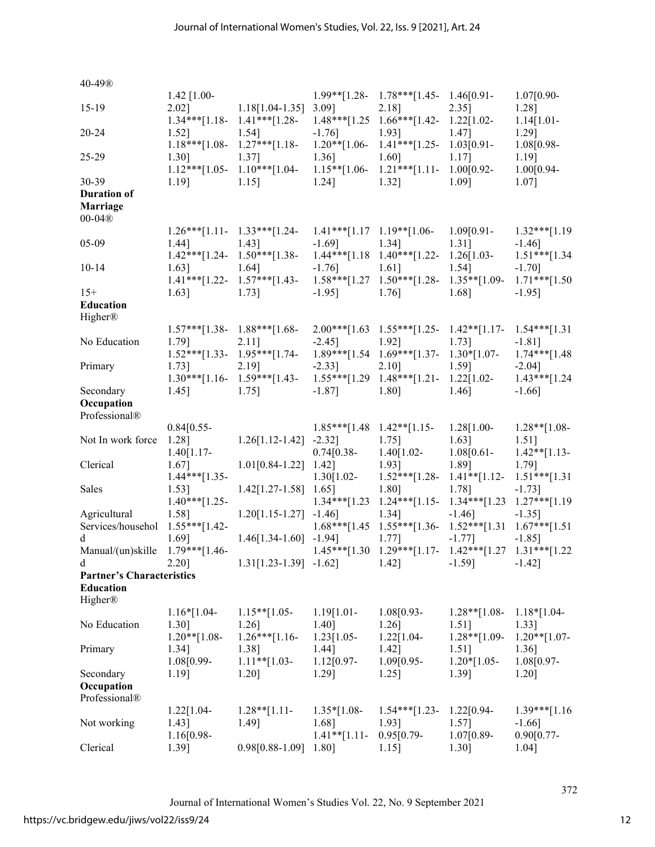| 40-49®                                                        |                        |                                                                                                              |                        |                                                              |                           |                                                 |
|---------------------------------------------------------------|------------------------|--------------------------------------------------------------------------------------------------------------|------------------------|--------------------------------------------------------------|---------------------------|-------------------------------------------------|
| $15-19$                                                       | $1.42$ [1.00-<br>2.02] | $1.18[1.04-1.35]$ 3.09]                                                                                      |                        | $1.99**$ [1.28- 1.78***[1.45- 1.46[0.91-<br>$2.18$ ]         | $2.35$ ]                  | $1.07[0.90-$<br>1.28]                           |
| $20 - 24$                                                     | 1.52]                  | $1.54$ ]<br>$1.18***[1.08-1.27***[1.18-1.20**[1.06-1.41***[1.25-1.03[0.91-$                                  | $-1.76$ ]              | 1.93]                                                        | $1.47$ ]                  | $1.14[1.01-$<br>1.29]<br>1.08[0.98-             |
| $25-29$                                                       | 1.30]                  | 1.37]<br>$1.12***[1.05-1.10***[1.04-$                                                                        | 1.36]                  | 1.60]<br>$1.15**[1.06-1.21***[1.11-1.00[0.92-$               | $1.17$ ]                  | $1.19$ ]<br>$1.00[0.94-$                        |
| 30-39                                                         | 1.19]                  | $1.15$ ]                                                                                                     | $1.24$ ]               | 1.32]                                                        | 1.09]                     | 1.07]                                           |
| <b>Duration of</b><br><b>Marriage</b><br>$00-04$ <sup>®</sup> |                        |                                                                                                              |                        |                                                              |                           |                                                 |
|                                                               |                        |                                                                                                              |                        |                                                              |                           |                                                 |
| 05-09                                                         | 1.44]                  | $1.26***[1.11-1.33***[1.24-1.41***[1.17 1.19**[1.06-1.09[0.91-$<br>$1.43$ ]<br>$1.42***$ [1.24-1.50***[1.38- | $-1.69$ ]              | $1.34$ ]<br>$1.44***[1.18 \t1.40***[1.22 \t1.26[1.03$        | $1.31$ ]                  | $1.32***[1.19]$<br>$-1.46$ ]<br>$1.51***$ [1.34 |
| $10-14$                                                       | 1.63]                  | 1.64]<br>$1.41***$ [1.22- 1.57***[1.43- 1.58***[1.27 1.50***[1.28- 1.35**[1.09-                              | $-1.76$ ]              | $1.61$ ]                                                     | $1.54$ ]                  | $-1.70]$<br>$1.71***$ [1.50                     |
| $15+$                                                         | 1.63]                  | $1.73$ ]                                                                                                     | $-1.95$ ]              | 1.76]                                                        | 1.68]                     | $-1.95$ ]                                       |
| Education<br>Higher®                                          |                        |                                                                                                              |                        |                                                              |                           |                                                 |
|                                                               |                        | $1.57***$ [1.38- 1.88***[1.68-                                                                               |                        | $2.00***[1.63 \t1.55***[1.25-1.42**[1.17-1.54***[1.31$       |                           |                                                 |
| No Education                                                  | 1.79]                  | $2.11$ ]                                                                                                     | $-2.45$ ]              | 1.92]                                                        | $1.73$ ]                  | $-1.81$ ]                                       |
|                                                               |                        | $1.52***$ [1.33- 1.95***[1.74- 1.89***[1.54 1.69***[1.37- 1.30*[1.07-                                        |                        |                                                              |                           | $1.74***$ [1.48]                                |
| Primary                                                       | 1.73]                  | 2.19]                                                                                                        | $-2.33$ ]              | 2.10]                                                        | $1.59$ ]                  | $-2.04$ ]                                       |
|                                                               |                        | $1.30***$ [1.16- 1.59***[1.43- 1.55***[1.29 1.48***[1.21- 1.22[1.02-                                         |                        |                                                              |                           | $1.43***$ [1.24]                                |
| Secondary                                                     | $1.45$ ]               | $1.75$ ]                                                                                                     | $-1.87$ ]              | $1.80$ ]                                                     | $1.46$ ]                  | $-1.66$ ]                                       |
| Occupation<br>Professional®                                   |                        |                                                                                                              |                        |                                                              |                           |                                                 |
|                                                               | $0.84[0.55-$           |                                                                                                              |                        | $1.85***[1.48 \t1.42**[1.15-$                                | $1.28[1.00-$              | $1.28**$ [1.08-                                 |
| Not In work force 1.28]                                       |                        | $1.26[1.12-1.42] -2.32]$                                                                                     |                        | $1.75$ ]                                                     | $1.63$ ]                  | $1.51$ ]                                        |
|                                                               | $1.40[1.17-$           |                                                                                                              | $0.74[0.38-$           | $1.40[1.02-$                                                 | $1.08[0.61-$              | $1.42**[1.13-$                                  |
| Clerical                                                      | 1.67]                  | $1.01[0.84-1.22]$ 1.42]                                                                                      |                        | 1.93]                                                        | 1.89]                     | 1.79]                                           |
|                                                               | $1.44***[1.35-$        |                                                                                                              | $1.30[1.02-$           | $1.52***[1.28-1.41**[1.12-$                                  |                           | $1.51***[1.31]$                                 |
| Sales                                                         | 1.53]                  | $1.42[1.27-1.58]$ 1.65]                                                                                      |                        | 1.80]                                                        | 1.78]                     | $-1.73$ ]                                       |
|                                                               | $1.40***$ [1.25-       |                                                                                                              |                        | $1.34***[1.23 \t1.24***[1.15-$                               | $1.34***$ [1.23]          | $1.27***$ [1.19]                                |
| Agricultural                                                  | 1.58]                  | $1.20[1.15-1.27] -1.46]$                                                                                     |                        | 1.34]                                                        | $-1.46$ ]                 | $-1.35$ ]                                       |
| Services/househol 1.55***[1.42-                               |                        |                                                                                                              |                        | $1.68***[1.45 \t1.55***[1.36-$                               | $1.52***$ [1.31]          | $1.67***$ [1.51]                                |
| d                                                             | 1.69]                  | $1.46[1.34-1.60] -1.94]$                                                                                     |                        | $1.77$ ]                                                     | $-1.77$ ]                 | $-1.85$ ]                                       |
| Manual/(un)skille                                             | $1.79***$ [1.46-       |                                                                                                              |                        | $1.45***[1.30 \t1.29***[1.17- \t1.42***[1.27 \t1.31***[1.22$ |                           |                                                 |
| d                                                             | 2.20]                  | $1.31[1.23-1.39] -1.62]$                                                                                     |                        | $1.42$ ]                                                     | $-1.59$ ]                 | $-1.42$ ]                                       |
| <b>Partner's Characteristics</b>                              |                        |                                                                                                              |                        |                                                              |                           |                                                 |
| Education<br>Higher®                                          |                        |                                                                                                              |                        |                                                              |                           |                                                 |
|                                                               | $1.16*[1.04-$          | $1.15**$ [1.05-                                                                                              | $1.19[1.01 -$          | $1.08[0.93-$                                                 | $1.28**$ [1.08-           | $1.18*[1.04-$                                   |
| No Education                                                  | 1.30]                  | 1.26]                                                                                                        | 1.40]                  | 1.26]                                                        | $1.51$ ]                  | 1.33]                                           |
|                                                               | $1.20**$ [1.08-        | $1.26***[1.16-$                                                                                              | 1.23[1.05-             | 1.22[1.04-                                                   | $1.28**$ [1.09-           | $1.20**$ [1.07-                                 |
| Primary                                                       | 1.34]<br>1.08[0.99-    | 1.38]<br>$1.11**$ [1.03-                                                                                     | 1.44]<br>$1.12[0.97-$  | $1.42$ ]<br>1.09[0.95-                                       | $1.51$ ]<br>$1.20*[1.05-$ | 1.36]<br>1.08[0.97-                             |
| Secondary                                                     | 1.19]                  | 1.20]                                                                                                        | 1.29]                  | $1.25$ ]                                                     | 1.39]                     | 1.20]                                           |
| Occupation                                                    |                        |                                                                                                              |                        |                                                              |                           |                                                 |
| Professional®                                                 |                        |                                                                                                              |                        |                                                              |                           |                                                 |
| Not working                                                   | 1.22[1.04-<br>1.43]    | $1.28**$ [1.11-<br>1.49]                                                                                     | $1.35*[1.08-$<br>1.68] | $1.54***$ [1.23-<br>1.93]                                    | $1.22[0.94-$<br>1.57]     | $1.39***$ [1.16]<br>$-1.66$ ]                   |
|                                                               | 1.16[0.98-             |                                                                                                              | $1.41**$ [1.11-        | $0.95[0.79-$                                                 | 1.07[0.89-                | $0.90[0.77-$                                    |
| Clerical                                                      | 1.39]                  | $0.98[0.88-1.09]$ 1.80]                                                                                      |                        | $1.15$ ]                                                     | 1.30]                     | 1.04]                                           |

Journal of International Women's Studies Vol. 22, No. 9 September 2021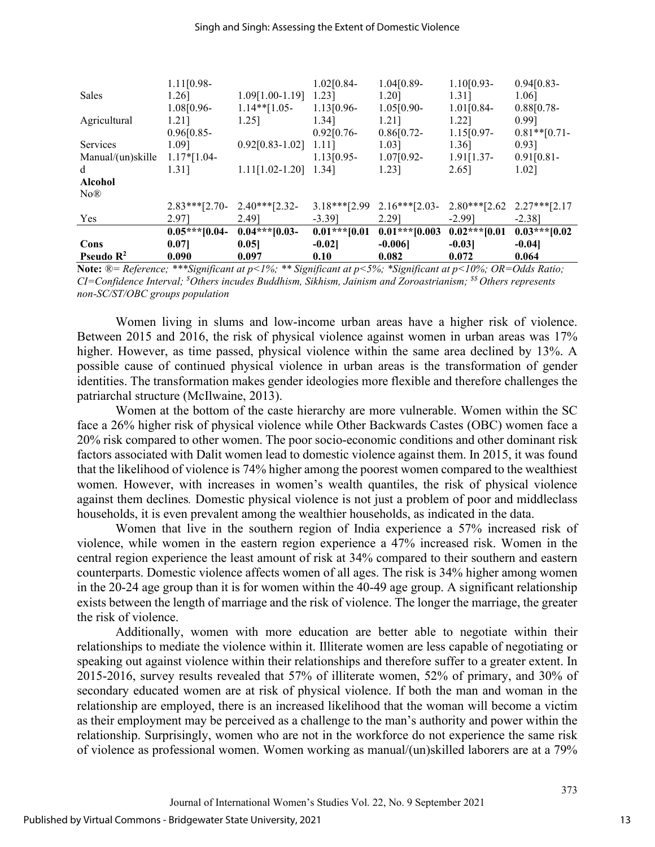#### Singh and Singh: Assessing the Extent of Domestic Violence

|                             | $1.11[0.98-$     |                         | $1.02[0.84-$     | $1.04[0.89-$      | $1.10[0.93-$     | $0.94[0.83-$    |
|-----------------------------|------------------|-------------------------|------------------|-------------------|------------------|-----------------|
| <b>Sales</b>                | 1.26]            | $1.09[1.00-1.19]$       | $1.23$ ]         | 1.20]             | 1.31]            | 1.06]           |
|                             | 1.08[0.96-       | $1.14**$ [1.05-         | $1.13[0.96-$     | $1.05[0.90-$      | $1.01[0.84-$     | $0.88[0.78-$    |
| Agricultural                | 1.21]            | 1.25]                   | 1.34]            | 1.21]             | 1.221            | 0.991           |
|                             | $0.96[0.85-$     |                         | $0.92[0.76-$     | $0.86[0.72-$      | $1.15[0.97-$     | $0.81**$ [0.71- |
| <b>Services</b>             | 1.091            | $0.92[0.83 - 1.02]$     | 1.11]            | 1.03]             | 1.36]            | $0.93$ ]        |
| Manual/(un)skille           | $1.17*[1.04-$    |                         | $1.13[0.95-$     | $1.07[0.92-$      | $1.91[1.37-$     | 0.91[0.81]      |
| d                           | 1.31]            | $1.11[1.02-1.20]$ 1.34] |                  | 1.23]             | 2.65]            | 1.02]           |
| <b>Alcohol</b>              |                  |                         |                  |                   |                  |                 |
| N <sub>o</sub> <sup>®</sup> |                  |                         |                  |                   |                  |                 |
|                             | $2.83***$ [2.70- | $2.40***$ [2.32-        | $3.18***$ [2.99] | $2.16***$ [2.03-  | $2.80***$ [2.62] | $2.27***$ [2.17 |
| Yes                         | 2.971            | 2.491                   | $-3.39$ ]        | 2.291             | $-2.991$         | $-2.381$        |
|                             | $0.05***10.04-$  | $0.04***$ [0.03-        | $0.01***$ [0.01] | $0.01***$ [0.003] | $0.02***$ [0.01] | $0.03***10.02$  |
| Cons                        | 0.071            | 0.051                   | $-0.02$          | $-0.006$          | $-0.03$          | $-0.04$         |
| Pseudo $\mathbb{R}^2$       | 0.090            | 0.097                   | 0.10             | 0.082             | 0.072            | 0.064           |

**Note:** *®= Reference; \*\*\*Significant at p<1%; \*\* Significant at p<5%; \*Significant at p<10%; OR=Odds Ratio; CI=Confidence Interval; \$ Others incudes Buddhism, Sikhism, Jainism and Zoroastrianism; \$\$ Others represents non-SC/ST/OBC groups population*

Women living in slums and low-income urban areas have a higher risk of violence. Between 2015 and 2016, the risk of physical violence against women in urban areas was 17% higher. However, as time passed, physical violence within the same area declined by 13%. A possible cause of continued physical violence in urban areas is the transformation of gender identities. The transformation makes gender ideologies more flexible and therefore challenges the patriarchal structure (McIlwaine, 2013).

Women at the bottom of the caste hierarchy are more vulnerable. Women within the SC face a 26% higher risk of physical violence while Other Backwards Castes (OBC) women face a 20% risk compared to other women. The poor socio-economic conditions and other dominant risk factors associated with Dalit women lead to domestic violence against them. In 2015, it was found that the likelihood of violence is 74% higher among the poorest women compared to the wealthiest women. However, with increases in women's wealth quantiles, the risk of physical violence against them declines*.* Domestic physical violence is not just a problem of poor and middleclass households, it is even prevalent among the wealthier households, as indicated in the data.

Women that live in the southern region of India experience a 57% increased risk of violence, while women in the eastern region experience a 47% increased risk. Women in the central region experience the least amount of risk at 34% compared to their southern and eastern counterparts. Domestic violence affects women of all ages. The risk is 34% higher among women in the 20-24 age group than it is for women within the 40-49 age group. A significant relationship exists between the length of marriage and the risk of violence. The longer the marriage, the greater the risk of violence.

Additionally, women with more education are better able to negotiate within their relationships to mediate the violence within it. Illiterate women are less capable of negotiating or speaking out against violence within their relationships and therefore suffer to a greater extent. In 2015-2016, survey results revealed that 57% of illiterate women, 52% of primary, and 30% of secondary educated women are at risk of physical violence. If both the man and woman in the relationship are employed, there is an increased likelihood that the woman will become a victim as their employment may be perceived as a challenge to the man's authority and power within the relationship. Surprisingly, women who are not in the workforce do not experience the same risk of violence as professional women. Women working as manual/(un)skilled laborers are at a 79%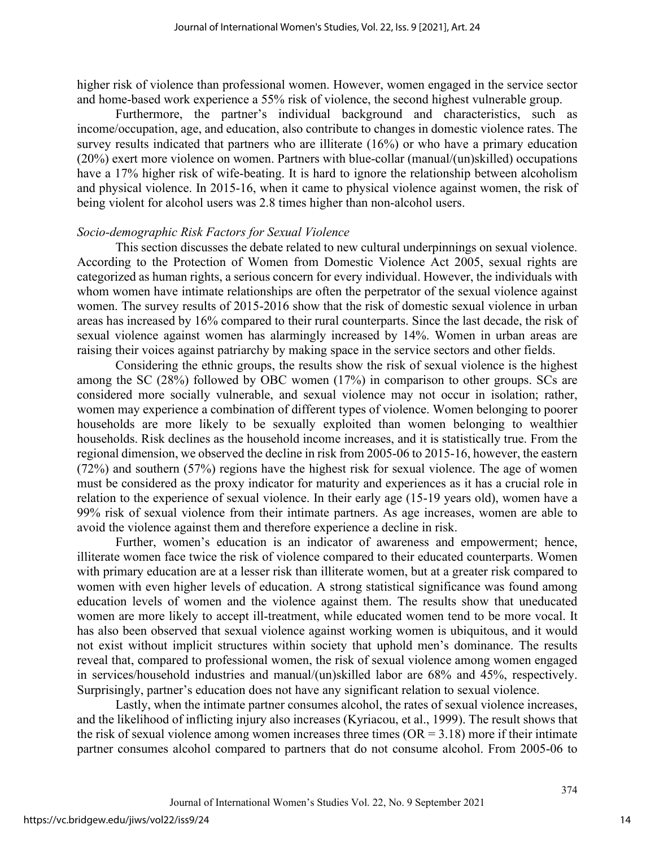higher risk of violence than professional women. However, women engaged in the service sector and home-based work experience a 55% risk of violence, the second highest vulnerable group.

Furthermore, the partner's individual background and characteristics, such as income/occupation, age, and education, also contribute to changes in domestic violence rates. The survey results indicated that partners who are illiterate (16%) or who have a primary education (20%) exert more violence on women. Partners with blue-collar (manual/(un)skilled) occupations have a 17% higher risk of wife-beating. It is hard to ignore the relationship between alcoholism and physical violence. In 2015-16, when it came to physical violence against women, the risk of being violent for alcohol users was 2.8 times higher than non-alcohol users.

#### *Socio-demographic Risk Factors for Sexual Violence*

This section discusses the debate related to new cultural underpinnings on sexual violence. According to the Protection of Women from Domestic Violence Act 2005, sexual rights are categorized as human rights, a serious concern for every individual. However, the individuals with whom women have intimate relationships are often the perpetrator of the sexual violence against women. The survey results of 2015-2016 show that the risk of domestic sexual violence in urban areas has increased by 16% compared to their rural counterparts. Since the last decade, the risk of sexual violence against women has alarmingly increased by 14%. Women in urban areas are raising their voices against patriarchy by making space in the service sectors and other fields.

Considering the ethnic groups, the results show the risk of sexual violence is the highest among the SC (28%) followed by OBC women (17%) in comparison to other groups. SCs are considered more socially vulnerable, and sexual violence may not occur in isolation; rather, women may experience a combination of different types of violence. Women belonging to poorer households are more likely to be sexually exploited than women belonging to wealthier households. Risk declines as the household income increases, and it is statistically true. From the regional dimension, we observed the decline in risk from 2005-06 to 2015-16, however, the eastern (72%) and southern (57%) regions have the highest risk for sexual violence. The age of women must be considered as the proxy indicator for maturity and experiences as it has a crucial role in relation to the experience of sexual violence. In their early age (15-19 years old), women have a 99% risk of sexual violence from their intimate partners. As age increases, women are able to avoid the violence against them and therefore experience a decline in risk.

Further, women's education is an indicator of awareness and empowerment; hence, illiterate women face twice the risk of violence compared to their educated counterparts. Women with primary education are at a lesser risk than illiterate women, but at a greater risk compared to women with even higher levels of education. A strong statistical significance was found among education levels of women and the violence against them. The results show that uneducated women are more likely to accept ill-treatment, while educated women tend to be more vocal. It has also been observed that sexual violence against working women is ubiquitous, and it would not exist without implicit structures within society that uphold men's dominance. The results reveal that, compared to professional women, the risk of sexual violence among women engaged in services/household industries and manual/(un)skilled labor are 68% and 45%, respectively. Surprisingly, partner's education does not have any significant relation to sexual violence.

Lastly, when the intimate partner consumes alcohol, the rates of sexual violence increases, and the likelihood of inflicting injury also increases (Kyriacou, et al., 1999). The result shows that the risk of sexual violence among women increases three times  $(OR = 3.18)$  more if their intimate partner consumes alcohol compared to partners that do not consume alcohol. From 2005-06 to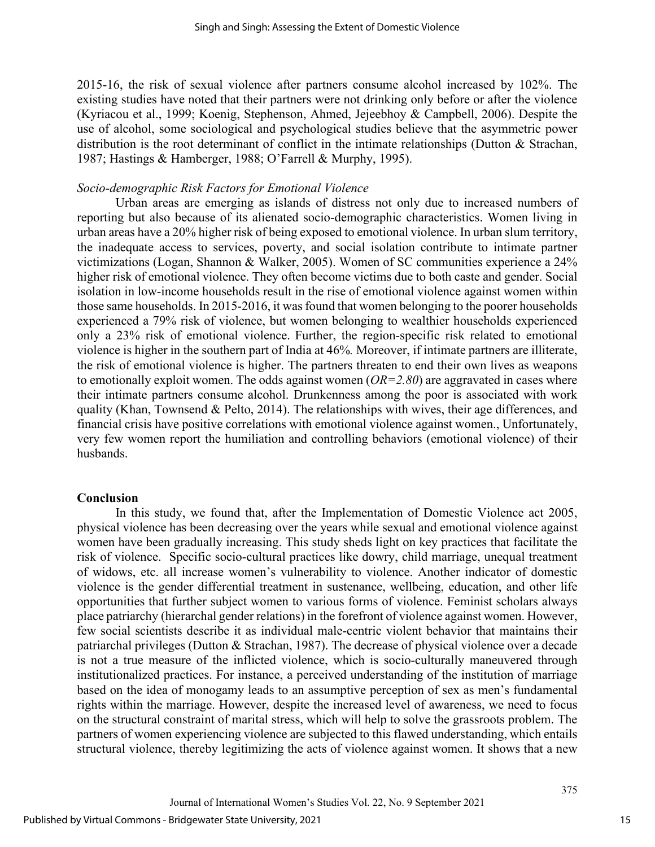2015-16, the risk of sexual violence after partners consume alcohol increased by 102%. The existing studies have noted that their partners were not drinking only before or after the violence (Kyriacou et al., 1999; Koenig, Stephenson, Ahmed, Jejeebhoy & Campbell, 2006). Despite the use of alcohol, some sociological and psychological studies believe that the asymmetric power distribution is the root determinant of conflict in the intimate relationships (Dutton & Strachan, 1987; Hastings & Hamberger, 1988; O'Farrell & Murphy, 1995).

#### *Socio-demographic Risk Factors for Emotional Violence*

Urban areas are emerging as islands of distress not only due to increased numbers of reporting but also because of its alienated socio-demographic characteristics. Women living in urban areas have a 20% higher risk of being exposed to emotional violence. In urban slum territory, the inadequate access to services, poverty, and social isolation contribute to intimate partner victimizations (Logan, Shannon & Walker, 2005). Women of SC communities experience a 24% higher risk of emotional violence. They often become victims due to both caste and gender. Social isolation in low-income households result in the rise of emotional violence against women within those same households. In 2015-2016, it was found that women belonging to the poorer households experienced a 79% risk of violence, but women belonging to wealthier households experienced only a 23% risk of emotional violence. Further, the region-specific risk related to emotional violence is higher in the southern part of India at 46%*.* Moreover, if intimate partners are illiterate, the risk of emotional violence is higher. The partners threaten to end their own lives as weapons to emotionally exploit women. The odds against women (*OR=2.80*) are aggravated in cases where their intimate partners consume alcohol. Drunkenness among the poor is associated with work quality (Khan, Townsend & Pelto, 2014). The relationships with wives, their age differences, and financial crisis have positive correlations with emotional violence against women., Unfortunately, very few women report the humiliation and controlling behaviors (emotional violence) of their husbands.

#### **Conclusion**

In this study, we found that, after the Implementation of Domestic Violence act 2005, physical violence has been decreasing over the years while sexual and emotional violence against women have been gradually increasing. This study sheds light on key practices that facilitate the risk of violence. Specific socio-cultural practices like dowry, child marriage, unequal treatment of widows, etc. all increase women's vulnerability to violence. Another indicator of domestic violence is the gender differential treatment in sustenance, wellbeing, education, and other life opportunities that further subject women to various forms of violence. Feminist scholars always place patriarchy (hierarchal gender relations) in the forefront of violence against women. However, few social scientists describe it as individual male-centric violent behavior that maintains their patriarchal privileges (Dutton & Strachan, 1987). The decrease of physical violence over a decade is not a true measure of the inflicted violence, which is socio-culturally maneuvered through institutionalized practices. For instance, a perceived understanding of the institution of marriage based on the idea of monogamy leads to an assumptive perception of sex as men's fundamental rights within the marriage. However, despite the increased level of awareness, we need to focus on the structural constraint of marital stress, which will help to solve the grassroots problem. The partners of women experiencing violence are subjected to this flawed understanding, which entails structural violence, thereby legitimizing the acts of violence against women. It shows that a new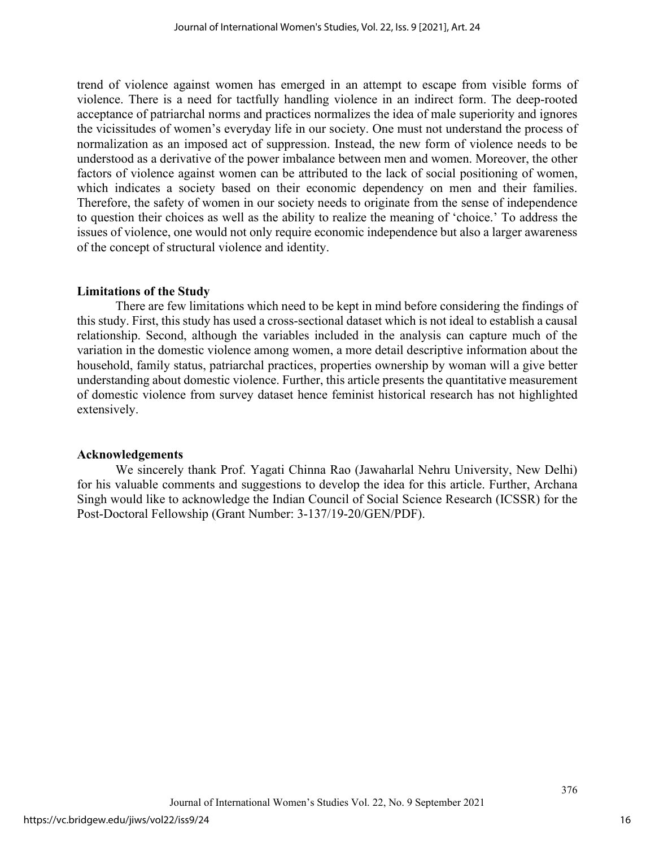trend of violence against women has emerged in an attempt to escape from visible forms of violence. There is a need for tactfully handling violence in an indirect form. The deep-rooted acceptance of patriarchal norms and practices normalizes the idea of male superiority and ignores the vicissitudes of women's everyday life in our society. One must not understand the process of normalization as an imposed act of suppression. Instead, the new form of violence needs to be understood as a derivative of the power imbalance between men and women. Moreover, the other factors of violence against women can be attributed to the lack of social positioning of women, which indicates a society based on their economic dependency on men and their families. Therefore, the safety of women in our society needs to originate from the sense of independence to question their choices as well as the ability to realize the meaning of 'choice.' To address the issues of violence, one would not only require economic independence but also a larger awareness of the concept of structural violence and identity.

# **Limitations of the Study**

There are few limitations which need to be kept in mind before considering the findings of this study. First, this study has used a cross-sectional dataset which is not ideal to establish a causal relationship. Second, although the variables included in the analysis can capture much of the variation in the domestic violence among women, a more detail descriptive information about the household, family status, patriarchal practices, properties ownership by woman will a give better understanding about domestic violence. Further, this article presents the quantitative measurement of domestic violence from survey dataset hence feminist historical research has not highlighted extensively.

# **Acknowledgements**

We sincerely thank Prof. Yagati Chinna Rao (Jawaharlal Nehru University, New Delhi) for his valuable comments and suggestions to develop the idea for this article. Further, Archana Singh would like to acknowledge the Indian Council of Social Science Research (ICSSR) for the Post-Doctoral Fellowship (Grant Number: 3-137/19-20/GEN/PDF).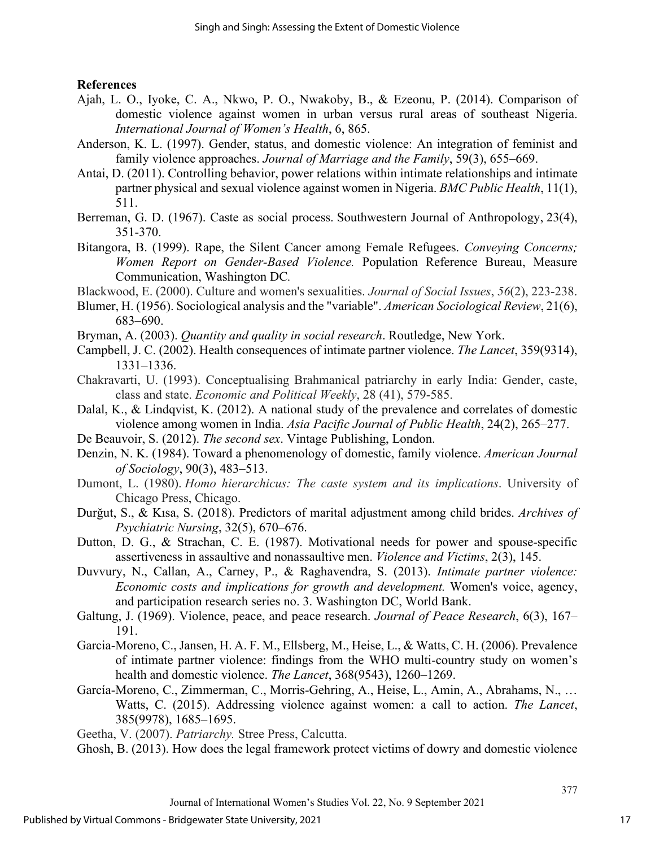# **References**

- Ajah, L. O., Iyoke, C. A., Nkwo, P. O., Nwakoby, B., & Ezeonu, P. (2014). Comparison of domestic violence against women in urban versus rural areas of southeast Nigeria. *International Journal of Women's Health*, 6, 865.
- Anderson, K. L. (1997). Gender, status, and domestic violence: An integration of feminist and family violence approaches. *Journal of Marriage and the Family*, 59(3), 655–669.
- Antai, D. (2011). Controlling behavior, power relations within intimate relationships and intimate partner physical and sexual violence against women in Nigeria. *BMC Public Health*, 11(1), 511.
- Berreman, G. D. (1967). Caste as social process. Southwestern Journal of Anthropology, 23(4), 351-370.
- Bitangora, B. (1999). Rape, the Silent Cancer among Female Refugees. *Conveying Concerns; Women Report on Gender-Based Violence.* Population Reference Bureau, Measure Communication, Washington DC*.*
- Blackwood, E. (2000). Culture and women's sexualities. *Journal of Social Issues*, *56*(2), 223-238.
- Blumer, H. (1956). Sociological analysis and the "variable". *American Sociological Review*, 21(6), 683–690.
- Bryman, A. (2003). *Quantity and quality in social research*. Routledge, New York.
- Campbell, J. C. (2002). Health consequences of intimate partner violence. *The Lancet*, 359(9314), 1331–1336.
- Chakravarti, U. (1993). Conceptualising Brahmanical patriarchy in early India: Gender, caste, class and state. *Economic and Political Weekly*, 28 (41), 579-585.
- Dalal, K., & Lindqvist, K. (2012). A national study of the prevalence and correlates of domestic violence among women in India. *Asia Pacific Journal of Public Health*, 24(2), 265–277.
- De Beauvoir, S. (2012). *The second sex*. Vintage Publishing, London.
- Denzin, N. K. (1984). Toward a phenomenology of domestic, family violence. *American Journal of Sociology*, 90(3), 483–513.
- Dumont, L. (1980). *Homo hierarchicus: The caste system and its implications*. University of Chicago Press, Chicago.
- Durğut, S., & Kısa, S. (2018). Predictors of marital adjustment among child brides. *Archives of Psychiatric Nursing*, 32(5), 670–676.
- Dutton, D. G., & Strachan, C. E. (1987). Motivational needs for power and spouse-specific assertiveness in assaultive and nonassaultive men. *Violence and Victims*, 2(3), 145.
- Duvvury, N., Callan, A., Carney, P., & Raghavendra, S. (2013). *Intimate partner violence: Economic costs and implications for growth and development.* Women's voice, agency, and participation research series no. 3. Washington DC, World Bank.
- Galtung, J. (1969). Violence, peace, and peace research. *Journal of Peace Research*, 6(3), 167– 191.
- Garcia-Moreno, C., Jansen, H. A. F. M., Ellsberg, M., Heise, L., & Watts, C. H. (2006). Prevalence of intimate partner violence: findings from the WHO multi-country study on women's health and domestic violence. *The Lancet*, 368(9543), 1260–1269.
- García-Moreno, C., Zimmerman, C., Morris-Gehring, A., Heise, L., Amin, A., Abrahams, N., … Watts, C. (2015). Addressing violence against women: a call to action. *The Lancet*, 385(9978), 1685–1695.

Geetha, V. (2007). *Patriarchy.* Stree Press, Calcutta.

Ghosh, B. (2013). How does the legal framework protect victims of dowry and domestic violence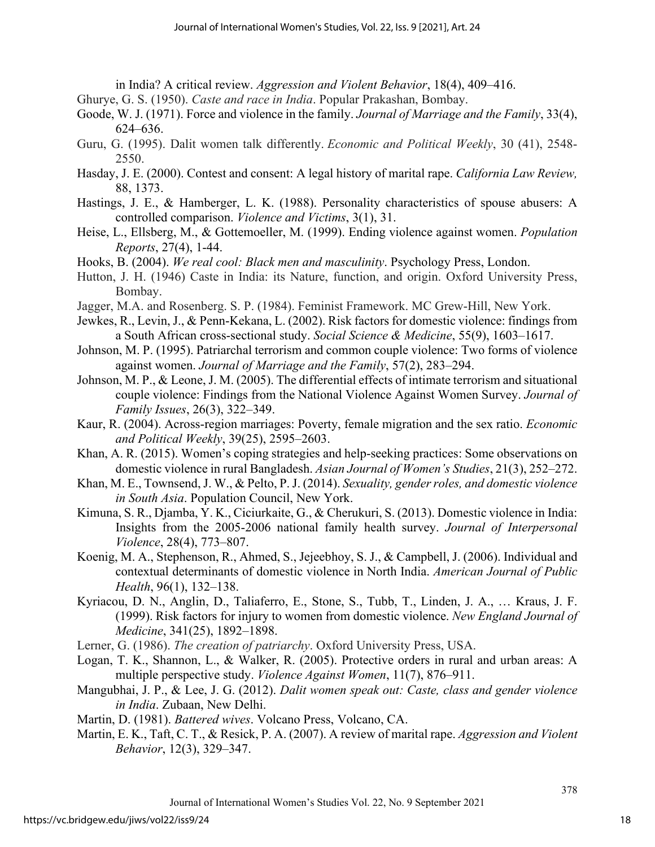in India? A critical review. *Aggression and Violent Behavior*, 18(4), 409–416.

- Ghurye, G. S. (1950). *Caste and race in India*. Popular Prakashan, Bombay.
- Goode, W. J. (1971). Force and violence in the family. *Journal of Marriage and the Family*, 33(4), 624–636.
- Guru, G. (1995). Dalit women talk differently. *Economic and Political Weekly*, 30 (41), 2548- 2550.
- Hasday, J. E. (2000). Contest and consent: A legal history of marital rape. *California Law Review,* 88, 1373.
- Hastings, J. E., & Hamberger, L. K. (1988). Personality characteristics of spouse abusers: A controlled comparison. *Violence and Victims*, 3(1), 31.
- Heise, L., Ellsberg, M., & Gottemoeller, M. (1999). Ending violence against women. *Population Reports*, 27(4), 1-44.
- Hooks, B. (2004). *We real cool: Black men and masculinity*. Psychology Press, London.
- Hutton, J. H. (1946) Caste in India: its Nature, function, and origin. Oxford University Press, Bombay.
- Jagger, M.A. and Rosenberg. S. P. (1984). Feminist Framework. MC Grew-Hill, New York.
- Jewkes, R., Levin, J., & Penn-Kekana, L. (2002). Risk factors for domestic violence: findings from a South African cross-sectional study. *Social Science & Medicine*, 55(9), 1603–1617.
- Johnson, M. P. (1995). Patriarchal terrorism and common couple violence: Two forms of violence against women. *Journal of Marriage and the Family*, 57(2), 283–294.
- Johnson, M. P., & Leone, J. M. (2005). The differential effects of intimate terrorism and situational couple violence: Findings from the National Violence Against Women Survey. *Journal of Family Issues*, 26(3), 322–349.
- Kaur, R. (2004). Across-region marriages: Poverty, female migration and the sex ratio. *Economic and Political Weekly*, 39(25), 2595–2603.
- Khan, A. R. (2015). Women's coping strategies and help-seeking practices: Some observations on domestic violence in rural Bangladesh. *Asian Journal of Women's Studies*, 21(3), 252–272.
- Khan, M. E., Townsend, J. W., & Pelto, P. J. (2014). *Sexuality, gender roles, and domestic violence in South Asia*. Population Council, New York.
- Kimuna, S. R., Djamba, Y. K., Ciciurkaite, G., & Cherukuri, S. (2013). Domestic violence in India: Insights from the 2005-2006 national family health survey. *Journal of Interpersonal Violence*, 28(4), 773–807.
- Koenig, M. A., Stephenson, R., Ahmed, S., Jejeebhoy, S. J., & Campbell, J. (2006). Individual and contextual determinants of domestic violence in North India. *American Journal of Public Health*, 96(1), 132–138.
- Kyriacou, D. N., Anglin, D., Taliaferro, E., Stone, S., Tubb, T., Linden, J. A., … Kraus, J. F. (1999). Risk factors for injury to women from domestic violence. *New England Journal of Medicine*, 341(25), 1892–1898.
- Lerner, G. (1986). *The creation of patriarchy*. Oxford University Press, USA.
- Logan, T. K., Shannon, L., & Walker, R. (2005). Protective orders in rural and urban areas: A multiple perspective study. *Violence Against Women*, 11(7), 876–911.
- Mangubhai, J. P., & Lee, J. G. (2012). *Dalit women speak out: Caste, class and gender violence in India*. Zubaan, New Delhi.
- Martin, D. (1981). *Battered wives*. Volcano Press, Volcano, CA.
- Martin, E. K., Taft, C. T., & Resick, P. A. (2007). A review of marital rape. *Aggression and Violent Behavior*, 12(3), 329–347.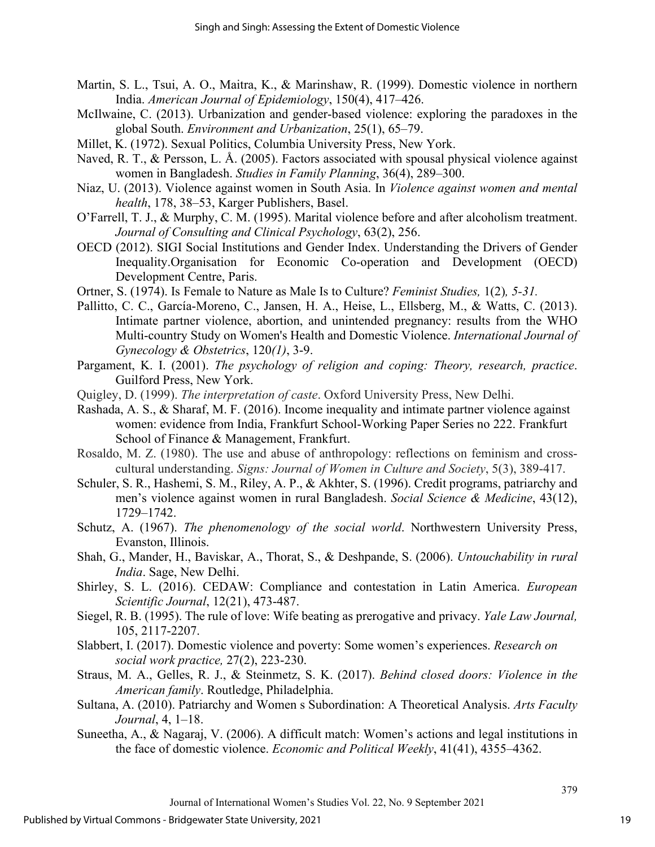- Martin, S. L., Tsui, A. O., Maitra, K., & Marinshaw, R. (1999). Domestic violence in northern India. *American Journal of Epidemiology*, 150(4), 417–426.
- McIlwaine, C. (2013). Urbanization and gender-based violence: exploring the paradoxes in the global South. *Environment and Urbanization*, 25(1), 65–79.
- Millet, K. (1972). Sexual Politics, Columbia University Press, New York.
- Naved, R. T., & Persson, L. Å. (2005). Factors associated with spousal physical violence against women in Bangladesh. *Studies in Family Planning*, 36(4), 289–300.
- Niaz, U. (2013). Violence against women in South Asia. In *Violence against women and mental health*, 178, 38–53, Karger Publishers, Basel.
- O'Farrell, T. J., & Murphy, C. M. (1995). Marital violence before and after alcoholism treatment. *Journal of Consulting and Clinical Psychology*, 63(2), 256.
- OECD (2012). SIGI Social Institutions and Gender Index. Understanding the Drivers of Gender Inequality.Organisation for Economic Co-operation and Development (OECD) Development Centre, Paris.
- Ortner, S. (1974). Is Female to Nature as Male Is to Culture? *Feminist Studies,* 1(2)*, 5-31.*
- Pallitto, C. C., García-Moreno, C., Jansen, H. A., Heise, L., Ellsberg, M., & Watts, C. (2013). Intimate partner violence, abortion, and unintended pregnancy: results from the WHO Multi-country Study on Women's Health and Domestic Violence. *International Journal of Gynecology & Obstetrics*, 120*(1)*, 3-9.
- Pargament, K. I. (2001). *The psychology of religion and coping: Theory, research, practice*. Guilford Press, New York.
- Quigley, D. (1999). *The interpretation of caste*. Oxford University Press, New Delhi.
- Rashada, A. S., & Sharaf, M. F. (2016). Income inequality and intimate partner violence against women: evidence from India, Frankfurt School-Working Paper Series no 222. Frankfurt School of Finance & Management, Frankfurt.
- Rosaldo, M. Z. (1980). The use and abuse of anthropology: reflections on feminism and crosscultural understanding. *Signs: Journal of Women in Culture and Society*, 5(3), 389-417.
- Schuler, S. R., Hashemi, S. M., Riley, A. P., & Akhter, S. (1996). Credit programs, patriarchy and men's violence against women in rural Bangladesh. *Social Science & Medicine*, 43(12), 1729–1742.
- Schutz, A. (1967). *The phenomenology of the social world*. Northwestern University Press, Evanston, Illinois.
- Shah, G., Mander, H., Baviskar, A., Thorat, S., & Deshpande, S. (2006). *Untouchability in rural India*. Sage, New Delhi.
- Shirley, S. L. (2016). CEDAW: Compliance and contestation in Latin America. *European Scientific Journal*, 12(21), 473-487.
- Siegel, R. B. (1995). The rule of love: Wife beating as prerogative and privacy. *Yale Law Journal,*  105, 2117-2207.
- Slabbert, I. (2017). Domestic violence and poverty: Some women's experiences. *Research on social work practice,* 27(2), 223-230.
- Straus, M. A., Gelles, R. J., & Steinmetz, S. K. (2017). *Behind closed doors: Violence in the American family*. Routledge, Philadelphia.
- Sultana, A. (2010). Patriarchy and Women s Subordination: A Theoretical Analysis. *Arts Faculty Journal*, 4, 1–18.
- Suneetha, A., & Nagaraj, V. (2006). A difficult match: Women's actions and legal institutions in the face of domestic violence. *Economic and Political Weekly*, 41(41), 4355–4362.